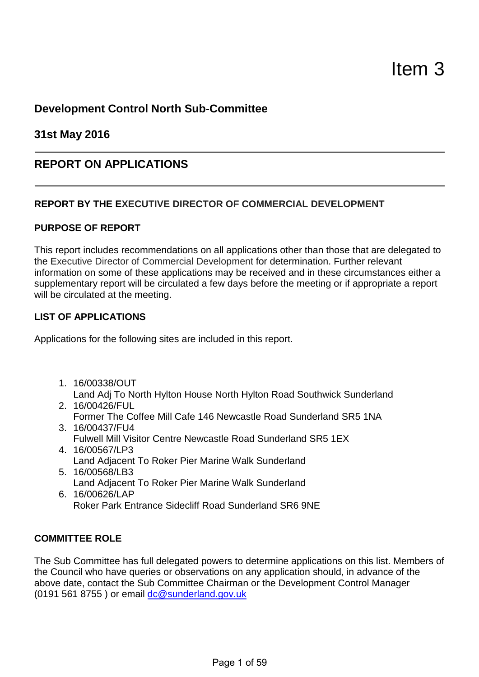# **Development Control North Sub-Committee**

# **31st May 2016**

# **REPORT ON APPLICATIONS**

# **REPORT BY THE EXECUTIVE DIRECTOR OF COMMERCIAL DEVELOPMENT**

# **PURPOSE OF REPORT**

This report includes recommendations on all applications other than those that are delegated to the Executive Director of Commercial Development for determination. Further relevant information on some of these applications may be received and in these circumstances either a supplementary report will be circulated a few days before the meeting or if appropriate a report will be circulated at the meeting.

# **LIST OF APPLICATIONS**

Applications for the following sites are included in this report.

- 1. 16/00338/OUT
- Land Adj To North Hylton House North Hylton Road Southwick Sunderland 2. 16/00426/FUL
- Former The Coffee Mill Cafe 146 Newcastle Road Sunderland SR5 1NA
- 3. 16/00437/FU4 Fulwell Mill Visitor Centre Newcastle Road Sunderland SR5 1EX
- 4. 16/00567/LP3 Land Adjacent To Roker Pier Marine Walk Sunderland
- 5. 16/00568/LB3 Land Adjacent To Roker Pier Marine Walk Sunderland 6. 16/00626/LAP
	- Roker Park Entrance Sidecliff Road Sunderland SR6 9NE

# **COMMITTEE ROLE**

The Sub Committee has full delegated powers to determine applications on this list. Members of the Council who have queries or observations on any application should, in advance of the above date, contact the Sub Committee Chairman or the Development Control Manager (0191 561 8755 ) or email dc@sunderland.gov.uk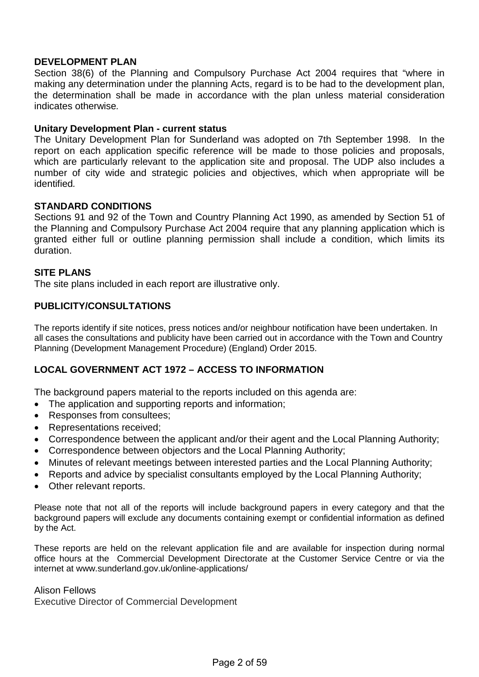# **DEVELOPMENT PLAN**

Section 38(6) of the Planning and Compulsory Purchase Act 2004 requires that "where in making any determination under the planning Acts, regard is to be had to the development plan, the determination shall be made in accordance with the plan unless material consideration indicates otherwise*.*

#### **Unitary Development Plan - current status**

The Unitary Development Plan for Sunderland was adopted on 7th September 1998. In the report on each application specific reference will be made to those policies and proposals, which are particularly relevant to the application site and proposal. The UDP also includes a number of city wide and strategic policies and objectives, which when appropriate will be identified*.*

# **STANDARD CONDITIONS**

Sections 91 and 92 of the Town and Country Planning Act 1990, as amended by Section 51 of the Planning and Compulsory Purchase Act 2004 require that any planning application which is granted either full or outline planning permission shall include a condition, which limits its duration.

# **SITE PLANS**

The site plans included in each report are illustrative only.

# **PUBLICITY/CONSULTATIONS**

The reports identify if site notices, press notices and/or neighbour notification have been undertaken. In all cases the consultations and publicity have been carried out in accordance with the Town and Country Planning (Development Management Procedure) (England) Order 2015.

# **LOCAL GOVERNMENT ACT 1972 – ACCESS TO INFORMATION**

The background papers material to the reports included on this agenda are:

- The application and supporting reports and information;
- Responses from consultees;
- Representations received;
- Correspondence between the applicant and/or their agent and the Local Planning Authority;
- Correspondence between objectors and the Local Planning Authority;
- Minutes of relevant meetings between interested parties and the Local Planning Authority;
- Reports and advice by specialist consultants employed by the Local Planning Authority;
- Other relevant reports.

Please note that not all of the reports will include background papers in every category and that the background papers will exclude any documents containing exempt or confidential information as defined by the Act.

These reports are held on the relevant application file and are available for inspection during normal office hours at the Commercial Development Directorate at the Customer Service Centre or via the internet at www.sunderland.gov.uk/online-applications/

#### Alison Fellows

Executive Director of Commercial Development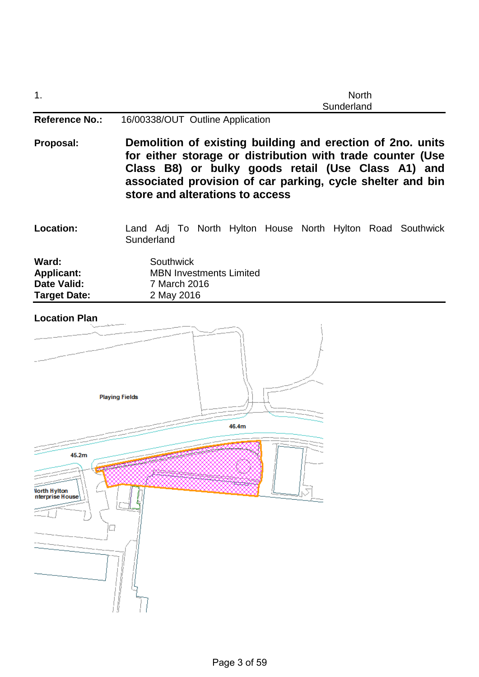| $\overline{A}$<br>. . | <b>North</b> |  |
|-----------------------|--------------|--|
|                       | Sunderland   |  |

**Reference No.:** 16/00338/OUT Outline Application

**Proposal: Demolition of existing building and erection of 2no. units for either storage or distribution with trade counter (Use Class B8) or bulky goods retail (Use Class A1) and associated provision of car parking, cycle shelter and bin store and alterations to access**

**Location:** Land Adj To North Hylton House North Hylton Road Southwick **Sunderland** 

| Ward:               | Southwick                      |
|---------------------|--------------------------------|
| <b>Applicant:</b>   | <b>MBN Investments Limited</b> |
| Date Valid:         | 7 March 2016                   |
| <b>Target Date:</b> | 2 May 2016                     |

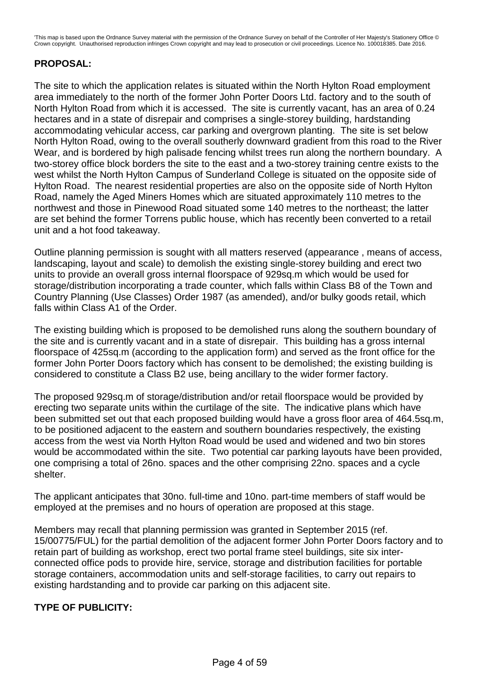# **PROPOSAL:**

The site to which the application relates is situated within the North Hylton Road employment area immediately to the north of the former John Porter Doors Ltd. factory and to the south of North Hylton Road from which it is accessed. The site is currently vacant, has an area of 0.24 hectares and in a state of disrepair and comprises a single-storey building, hardstanding accommodating vehicular access, car parking and overgrown planting. The site is set below North Hylton Road, owing to the overall southerly downward gradient from this road to the River Wear, and is bordered by high palisade fencing whilst trees run along the northern boundary. A two-storey office block borders the site to the east and a two-storey training centre exists to the west whilst the North Hylton Campus of Sunderland College is situated on the opposite side of Hylton Road. The nearest residential properties are also on the opposite side of North Hylton Road, namely the Aged Miners Homes which are situated approximately 110 metres to the northwest and those in Pinewood Road situated some 140 metres to the northeast; the latter are set behind the former Torrens public house, which has recently been converted to a retail unit and a hot food takeaway.

Outline planning permission is sought with all matters reserved (appearance , means of access, landscaping, layout and scale) to demolish the existing single-storey building and erect two units to provide an overall gross internal floorspace of 929sq.m which would be used for storage/distribution incorporating a trade counter, which falls within Class B8 of the Town and Country Planning (Use Classes) Order 1987 (as amended), and/or bulky goods retail, which falls within Class A1 of the Order.

The existing building which is proposed to be demolished runs along the southern boundary of the site and is currently vacant and in a state of disrepair. This building has a gross internal floorspace of 425sq.m (according to the application form) and served as the front office for the former John Porter Doors factory which has consent to be demolished; the existing building is considered to constitute a Class B2 use, being ancillary to the wider former factory.

The proposed 929sq.m of storage/distribution and/or retail floorspace would be provided by erecting two separate units within the curtilage of the site. The indicative plans which have been submitted set out that each proposed building would have a gross floor area of 464.5sq.m, to be positioned adjacent to the eastern and southern boundaries respectively, the existing access from the west via North Hylton Road would be used and widened and two bin stores would be accommodated within the site. Two potential car parking layouts have been provided, one comprising a total of 26no. spaces and the other comprising 22no. spaces and a cycle shelter.

The applicant anticipates that 30no. full-time and 10no. part-time members of staff would be employed at the premises and no hours of operation are proposed at this stage.

Members may recall that planning permission was granted in September 2015 (ref. 15/00775/FUL) for the partial demolition of the adjacent former John Porter Doors factory and to retain part of building as workshop, erect two portal frame steel buildings, site six interconnected office pods to provide hire, service, storage and distribution facilities for portable storage containers, accommodation units and self-storage facilities, to carry out repairs to existing hardstanding and to provide car parking on this adjacent site.

# **TYPE OF PUBLICITY:**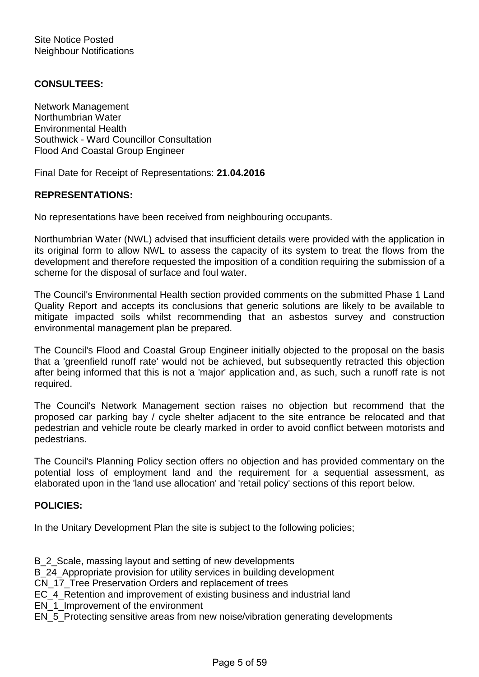#### **CONSULTEES:**

Network Management Northumbrian Water Environmental Health Southwick - Ward Councillor Consultation Flood And Coastal Group Engineer

Final Date for Receipt of Representations: **21.04.2016**

#### **REPRESENTATIONS:**

No representations have been received from neighbouring occupants.

Northumbrian Water (NWL) advised that insufficient details were provided with the application in its original form to allow NWL to assess the capacity of its system to treat the flows from the development and therefore requested the imposition of a condition requiring the submission of a scheme for the disposal of surface and foul water.

The Council's Environmental Health section provided comments on the submitted Phase 1 Land Quality Report and accepts its conclusions that generic solutions are likely to be available to mitigate impacted soils whilst recommending that an asbestos survey and construction environmental management plan be prepared.

The Council's Flood and Coastal Group Engineer initially objected to the proposal on the basis that a 'greenfield runoff rate' would not be achieved, but subsequently retracted this objection after being informed that this is not a 'major' application and, as such, such a runoff rate is not required.

The Council's Network Management section raises no objection but recommend that the proposed car parking bay / cycle shelter adjacent to the site entrance be relocated and that pedestrian and vehicle route be clearly marked in order to avoid conflict between motorists and pedestrians.

The Council's Planning Policy section offers no objection and has provided commentary on the potential loss of employment land and the requirement for a sequential assessment, as elaborated upon in the 'land use allocation' and 'retail policy' sections of this report below.

#### **POLICIES:**

In the Unitary Development Plan the site is subject to the following policies;

- B 2 Scale, massing layout and setting of new developments
- B 24 Appropriate provision for utility services in building development
- CN\_17\_Tree Preservation Orders and replacement of trees
- EC\_4\_Retention and improvement of existing business and industrial land
- EN 1 Improvement of the environment

EN\_5\_Protecting sensitive areas from new noise/vibration generating developments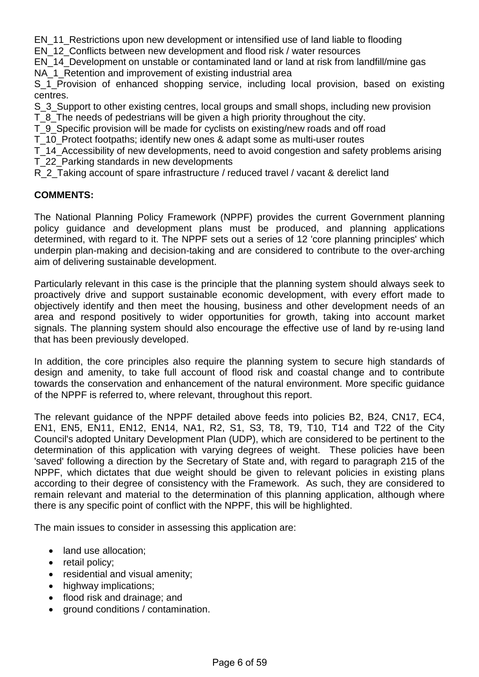EN\_11\_Restrictions upon new development or intensified use of land liable to flooding

EN\_12\_Conflicts between new development and flood risk / water resources

EN\_14\_Development on unstable or contaminated land or land at risk from landfill/mine gas NA 1 Retention and improvement of existing industrial area

S 1 Provision of enhanced shopping service, including local provision, based on existing centres.

S\_3\_Support to other existing centres, local groups and small shops, including new provision

T\_8\_The needs of pedestrians will be given a high priority throughout the city.

T\_9\_Specific provision will be made for cyclists on existing/new roads and off road

T\_10\_Protect footpaths; identify new ones & adapt some as multi-user routes

T\_14\_Accessibility of new developments, need to avoid congestion and safety problems arising

T\_22\_Parking standards in new developments

R 2 Taking account of spare infrastructure / reduced travel / vacant & derelict land

# **COMMENTS:**

The National Planning Policy Framework (NPPF) provides the current Government planning policy guidance and development plans must be produced, and planning applications determined, with regard to it. The NPPF sets out a series of 12 'core planning principles' which underpin plan-making and decision-taking and are considered to contribute to the over-arching aim of delivering sustainable development.

Particularly relevant in this case is the principle that the planning system should always seek to proactively drive and support sustainable economic development, with every effort made to objectively identify and then meet the housing, business and other development needs of an area and respond positively to wider opportunities for growth, taking into account market signals. The planning system should also encourage the effective use of land by re-using land that has been previously developed.

In addition, the core principles also require the planning system to secure high standards of design and amenity, to take full account of flood risk and coastal change and to contribute towards the conservation and enhancement of the natural environment. More specific guidance of the NPPF is referred to, where relevant, throughout this report.

The relevant guidance of the NPPF detailed above feeds into policies B2, B24, CN17, EC4, EN1, EN5, EN11, EN12, EN14, NA1, R2, S1, S3, T8, T9, T10, T14 and T22 of the City Council's adopted Unitary Development Plan (UDP), which are considered to be pertinent to the determination of this application with varying degrees of weight. These policies have been 'saved' following a direction by the Secretary of State and, with regard to paragraph 215 of the NPPF, which dictates that due weight should be given to relevant policies in existing plans according to their degree of consistency with the Framework. As such, they are considered to remain relevant and material to the determination of this planning application, although where there is any specific point of conflict with the NPPF, this will be highlighted.

The main issues to consider in assessing this application are:

- land use allocation;
- retail policy;
- residential and visual amenity;
- highway implications;
- flood risk and drainage; and
- ground conditions / contamination.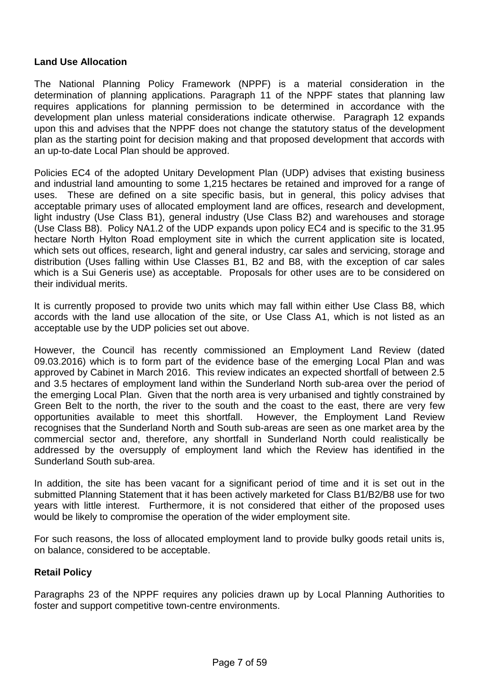# **Land Use Allocation**

The National Planning Policy Framework (NPPF) is a material consideration in the determination of planning applications. Paragraph 11 of the NPPF states that planning law requires applications for planning permission to be determined in accordance with the development plan unless material considerations indicate otherwise. Paragraph 12 expands upon this and advises that the NPPF does not change the statutory status of the development plan as the starting point for decision making and that proposed development that accords with an up-to-date Local Plan should be approved.

Policies EC4 of the adopted Unitary Development Plan (UDP) advises that existing business and industrial land amounting to some 1,215 hectares be retained and improved for a range of uses. These are defined on a site specific basis, but in general, this policy advises that acceptable primary uses of allocated employment land are offices, research and development, light industry (Use Class B1), general industry (Use Class B2) and warehouses and storage (Use Class B8). Policy NA1.2 of the UDP expands upon policy EC4 and is specific to the 31.95 hectare North Hylton Road employment site in which the current application site is located, which sets out offices, research, light and general industry, car sales and servicing, storage and distribution (Uses falling within Use Classes B1, B2 and B8, with the exception of car sales which is a Sui Generis use) as acceptable. Proposals for other uses are to be considered on their individual merits.

It is currently proposed to provide two units which may fall within either Use Class B8, which accords with the land use allocation of the site, or Use Class A1, which is not listed as an acceptable use by the UDP policies set out above.

However, the Council has recently commissioned an Employment Land Review (dated 09.03.2016) which is to form part of the evidence base of the emerging Local Plan and was approved by Cabinet in March 2016. This review indicates an expected shortfall of between 2.5 and 3.5 hectares of employment land within the Sunderland North sub-area over the period of the emerging Local Plan. Given that the north area is very urbanised and tightly constrained by Green Belt to the north, the river to the south and the coast to the east, there are very few opportunities available to meet this shortfall. However, the Employment Land Review recognises that the Sunderland North and South sub-areas are seen as one market area by the commercial sector and, therefore, any shortfall in Sunderland North could realistically be addressed by the oversupply of employment land which the Review has identified in the Sunderland South sub-area.

In addition, the site has been vacant for a significant period of time and it is set out in the submitted Planning Statement that it has been actively marketed for Class B1/B2/B8 use for two years with little interest. Furthermore, it is not considered that either of the proposed uses would be likely to compromise the operation of the wider employment site.

For such reasons, the loss of allocated employment land to provide bulky goods retail units is, on balance, considered to be acceptable.

# **Retail Policy**

Paragraphs 23 of the NPPF requires any policies drawn up by Local Planning Authorities to foster and support competitive town-centre environments.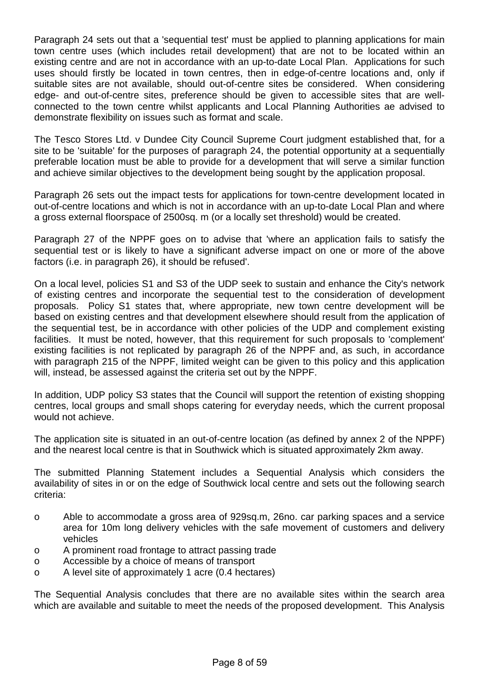Paragraph 24 sets out that a 'sequential test' must be applied to planning applications for main town centre uses (which includes retail development) that are not to be located within an existing centre and are not in accordance with an up-to-date Local Plan. Applications for such uses should firstly be located in town centres, then in edge-of-centre locations and, only if suitable sites are not available, should out-of-centre sites be considered. When considering edge- and out-of-centre sites, preference should be given to accessible sites that are wellconnected to the town centre whilst applicants and Local Planning Authorities ae advised to demonstrate flexibility on issues such as format and scale.

The Tesco Stores Ltd. v Dundee City Council Supreme Court judgment established that, for a site to be 'suitable' for the purposes of paragraph 24, the potential opportunity at a sequentially preferable location must be able to provide for a development that will serve a similar function and achieve similar objectives to the development being sought by the application proposal.

Paragraph 26 sets out the impact tests for applications for town-centre development located in out-of-centre locations and which is not in accordance with an up-to-date Local Plan and where a gross external floorspace of 2500sq. m (or a locally set threshold) would be created.

Paragraph 27 of the NPPF goes on to advise that 'where an application fails to satisfy the sequential test or is likely to have a significant adverse impact on one or more of the above factors (i.e. in paragraph 26), it should be refused'.

On a local level, policies S1 and S3 of the UDP seek to sustain and enhance the City's network of existing centres and incorporate the sequential test to the consideration of development proposals. Policy S1 states that, where appropriate, new town centre development will be based on existing centres and that development elsewhere should result from the application of the sequential test, be in accordance with other policies of the UDP and complement existing facilities. It must be noted, however, that this requirement for such proposals to 'complement' existing facilities is not replicated by paragraph 26 of the NPPF and, as such, in accordance with paragraph 215 of the NPPF, limited weight can be given to this policy and this application will, instead, be assessed against the criteria set out by the NPPF.

In addition, UDP policy S3 states that the Council will support the retention of existing shopping centres, local groups and small shops catering for everyday needs, which the current proposal would not achieve.

The application site is situated in an out-of-centre location (as defined by annex 2 of the NPPF) and the nearest local centre is that in Southwick which is situated approximately 2km away.

The submitted Planning Statement includes a Sequential Analysis which considers the availability of sites in or on the edge of Southwick local centre and sets out the following search criteria:

- o Able to accommodate a gross area of 929sq.m, 26no. car parking spaces and a service area for 10m long delivery vehicles with the safe movement of customers and delivery vehicles
- o A prominent road frontage to attract passing trade
- o Accessible by a choice of means of transport
- o A level site of approximately 1 acre (0.4 hectares)

The Sequential Analysis concludes that there are no available sites within the search area which are available and suitable to meet the needs of the proposed development. This Analysis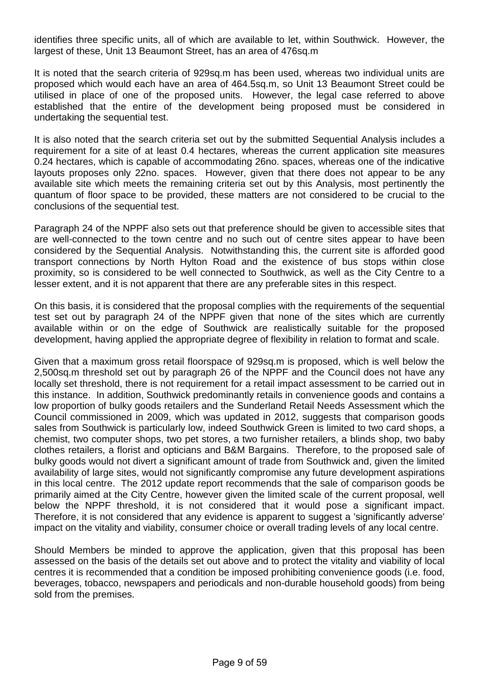identifies three specific units, all of which are available to let, within Southwick. However, the largest of these, Unit 13 Beaumont Street, has an area of 476sq.m

It is noted that the search criteria of 929sq.m has been used, whereas two individual units are proposed which would each have an area of 464.5sq.m, so Unit 13 Beaumont Street could be utilised in place of one of the proposed units. However, the legal case referred to above established that the entire of the development being proposed must be considered in undertaking the sequential test.

It is also noted that the search criteria set out by the submitted Sequential Analysis includes a requirement for a site of at least 0.4 hectares, whereas the current application site measures 0.24 hectares, which is capable of accommodating 26no. spaces, whereas one of the indicative layouts proposes only 22no. spaces. However, given that there does not appear to be any available site which meets the remaining criteria set out by this Analysis, most pertinently the quantum of floor space to be provided, these matters are not considered to be crucial to the conclusions of the sequential test.

Paragraph 24 of the NPPF also sets out that preference should be given to accessible sites that are well-connected to the town centre and no such out of centre sites appear to have been considered by the Sequential Analysis. Notwithstanding this, the current site is afforded good transport connections by North Hylton Road and the existence of bus stops within close proximity, so is considered to be well connected to Southwick, as well as the City Centre to a lesser extent, and it is not apparent that there are any preferable sites in this respect.

On this basis, it is considered that the proposal complies with the requirements of the sequential test set out by paragraph 24 of the NPPF given that none of the sites which are currently available within or on the edge of Southwick are realistically suitable for the proposed development, having applied the appropriate degree of flexibility in relation to format and scale.

Given that a maximum gross retail floorspace of 929sq.m is proposed, which is well below the 2,500sq.m threshold set out by paragraph 26 of the NPPF and the Council does not have any locally set threshold, there is not requirement for a retail impact assessment to be carried out in this instance. In addition, Southwick predominantly retails in convenience goods and contains a low proportion of bulky goods retailers and the Sunderland Retail Needs Assessment which the Council commissioned in 2009, which was updated in 2012, suggests that comparison goods sales from Southwick is particularly low, indeed Southwick Green is limited to two card shops, a chemist, two computer shops, two pet stores, a two furnisher retailers, a blinds shop, two baby clothes retailers, a florist and opticians and B&M Bargains. Therefore, to the proposed sale of bulky goods would not divert a significant amount of trade from Southwick and, given the limited availability of large sites, would not significantly compromise any future development aspirations in this local centre. The 2012 update report recommends that the sale of comparison goods be primarily aimed at the City Centre, however given the limited scale of the current proposal, well below the NPPF threshold, it is not considered that it would pose a significant impact. Therefore, it is not considered that any evidence is apparent to suggest a 'significantly adverse' impact on the vitality and viability, consumer choice or overall trading levels of any local centre.

Should Members be minded to approve the application, given that this proposal has been assessed on the basis of the details set out above and to protect the vitality and viability of local centres it is recommended that a condition be imposed prohibiting convenience goods (i.e. food, beverages, tobacco, newspapers and periodicals and non-durable household goods) from being sold from the premises.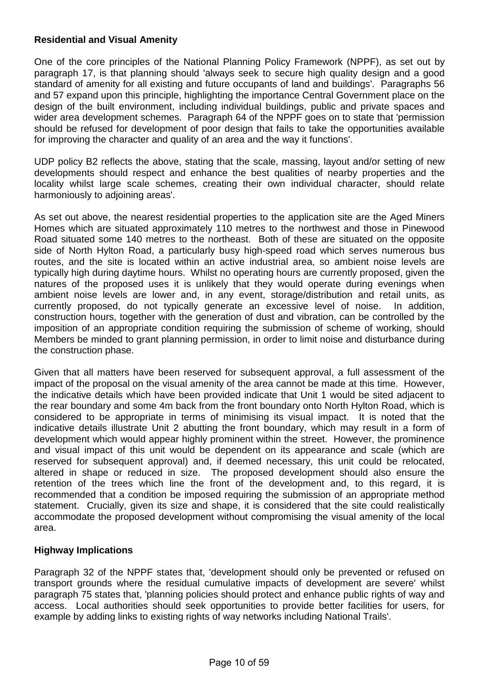# **Residential and Visual Amenity**

One of the core principles of the National Planning Policy Framework (NPPF), as set out by paragraph 17, is that planning should 'always seek to secure high quality design and a good standard of amenity for all existing and future occupants of land and buildings'. Paragraphs 56 and 57 expand upon this principle, highlighting the importance Central Government place on the design of the built environment, including individual buildings, public and private spaces and wider area development schemes. Paragraph 64 of the NPPF goes on to state that 'permission should be refused for development of poor design that fails to take the opportunities available for improving the character and quality of an area and the way it functions'.

UDP policy B2 reflects the above, stating that the scale, massing, layout and/or setting of new developments should respect and enhance the best qualities of nearby properties and the locality whilst large scale schemes, creating their own individual character, should relate harmoniously to adjoining areas'.

As set out above, the nearest residential properties to the application site are the Aged Miners Homes which are situated approximately 110 metres to the northwest and those in Pinewood Road situated some 140 metres to the northeast. Both of these are situated on the opposite side of North Hylton Road, a particularly busy high-speed road which serves numerous bus routes, and the site is located within an active industrial area, so ambient noise levels are typically high during daytime hours. Whilst no operating hours are currently proposed, given the natures of the proposed uses it is unlikely that they would operate during evenings when ambient noise levels are lower and, in any event, storage/distribution and retail units, as currently proposed, do not typically generate an excessive level of noise. construction hours, together with the generation of dust and vibration, can be controlled by the imposition of an appropriate condition requiring the submission of scheme of working, should Members be minded to grant planning permission, in order to limit noise and disturbance during the construction phase.

Given that all matters have been reserved for subsequent approval, a full assessment of the impact of the proposal on the visual amenity of the area cannot be made at this time. However, the indicative details which have been provided indicate that Unit 1 would be sited adjacent to the rear boundary and some 4m back from the front boundary onto North Hylton Road, which is considered to be appropriate in terms of minimising its visual impact. It is noted that the indicative details illustrate Unit 2 abutting the front boundary, which may result in a form of development which would appear highly prominent within the street. However, the prominence and visual impact of this unit would be dependent on its appearance and scale (which are reserved for subsequent approval) and, if deemed necessary, this unit could be relocated, altered in shape or reduced in size. The proposed development should also ensure the retention of the trees which line the front of the development and, to this regard, it is recommended that a condition be imposed requiring the submission of an appropriate method statement. Crucially, given its size and shape, it is considered that the site could realistically accommodate the proposed development without compromising the visual amenity of the local area.

# **Highway Implications**

Paragraph 32 of the NPPF states that, 'development should only be prevented or refused on transport grounds where the residual cumulative impacts of development are severe' whilst paragraph 75 states that, 'planning policies should protect and enhance public rights of way and access. Local authorities should seek opportunities to provide better facilities for users, for example by adding links to existing rights of way networks including National Trails'.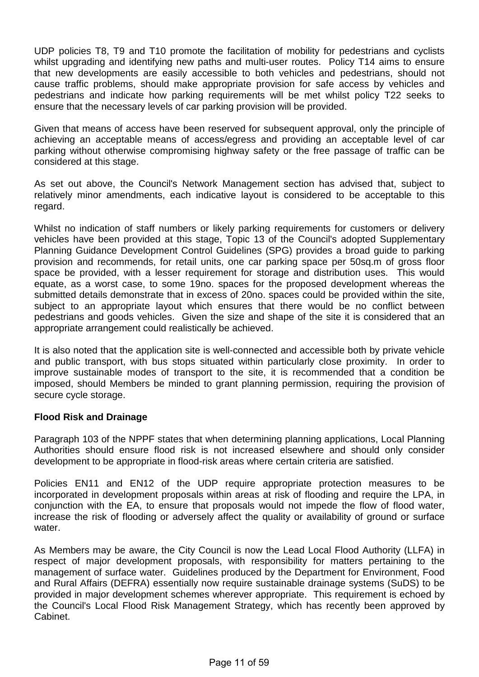UDP policies T8, T9 and T10 promote the facilitation of mobility for pedestrians and cyclists whilst upgrading and identifying new paths and multi-user routes. Policy T14 aims to ensure that new developments are easily accessible to both vehicles and pedestrians, should not cause traffic problems, should make appropriate provision for safe access by vehicles and pedestrians and indicate how parking requirements will be met whilst policy T22 seeks to ensure that the necessary levels of car parking provision will be provided.

Given that means of access have been reserved for subsequent approval, only the principle of achieving an acceptable means of access/egress and providing an acceptable level of car parking without otherwise compromising highway safety or the free passage of traffic can be considered at this stage.

As set out above, the Council's Network Management section has advised that, subject to relatively minor amendments, each indicative layout is considered to be acceptable to this regard.

Whilst no indication of staff numbers or likely parking requirements for customers or delivery vehicles have been provided at this stage, Topic 13 of the Council's adopted Supplementary Planning Guidance Development Control Guidelines (SPG) provides a broad guide to parking provision and recommends, for retail units, one car parking space per 50sq.m of gross floor space be provided, with a lesser requirement for storage and distribution uses. This would equate, as a worst case, to some 19no. spaces for the proposed development whereas the submitted details demonstrate that in excess of 20no. spaces could be provided within the site, subject to an appropriate layout which ensures that there would be no conflict between pedestrians and goods vehicles. Given the size and shape of the site it is considered that an appropriate arrangement could realistically be achieved.

It is also noted that the application site is well-connected and accessible both by private vehicle and public transport, with bus stops situated within particularly close proximity. In order to improve sustainable modes of transport to the site, it is recommended that a condition be imposed, should Members be minded to grant planning permission, requiring the provision of secure cycle storage.

# **Flood Risk and Drainage**

Paragraph 103 of the NPPF states that when determining planning applications, Local Planning Authorities should ensure flood risk is not increased elsewhere and should only consider development to be appropriate in flood-risk areas where certain criteria are satisfied.

Policies EN11 and EN12 of the UDP require appropriate protection measures to be incorporated in development proposals within areas at risk of flooding and require the LPA, in conjunction with the EA, to ensure that proposals would not impede the flow of flood water, increase the risk of flooding or adversely affect the quality or availability of ground or surface water.

As Members may be aware, the City Council is now the Lead Local Flood Authority (LLFA) in respect of major development proposals, with responsibility for matters pertaining to the management of surface water. Guidelines produced by the Department for Environment, Food and Rural Affairs (DEFRA) essentially now require sustainable drainage systems (SuDS) to be provided in major development schemes wherever appropriate. This requirement is echoed by the Council's Local Flood Risk Management Strategy, which has recently been approved by Cabinet.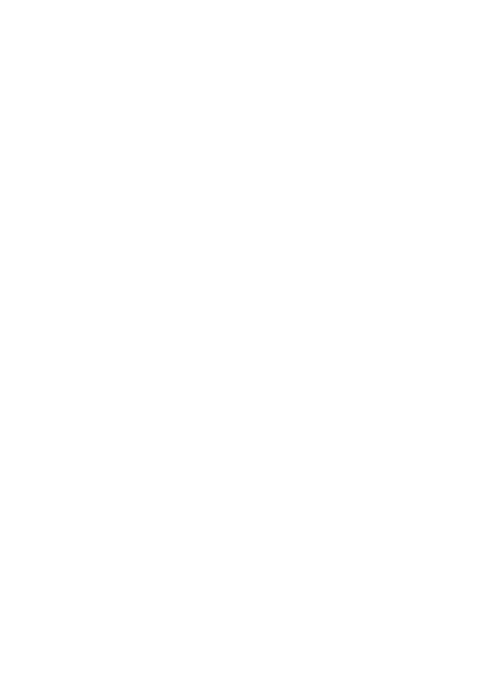However, the current application is not classed as a 'major' planning application and, as such, there is no requirement to provide SuDS in this instance. In addition, the site lies within Flood Zone 1, so is of low sensitivity in respect of potential flooding.

A Flood Risk Assessment has been provided which identifies flooding from rainfall in respect of surface water runoff as being the critical issue to consider in this instance and notes that the total impermeable area of the site would be increased from 0.185ha to 0.228ha. The Assessment also sets out a drainage strategy which would, effectively, provide a runoff rate of 10.65l/s, which constitutes a betterment of 50% of the existing runoff rate which has been calculated at 21.3l/s.

Given that the submitted details are indicative at this stage, it is recommended that a condition be imposed requiring a detailed drainage strategy to be provided, should Members be minded to approve this application. However, it is considered that the submitted details demonstrate that a significant betterment of the drainage of the site can realistically be achieved.

# **Ground Conditions / Contamination**

Policy EN1 of the UDP seeks improvements to the environment by minimising all forms of pollution whilst policy EN12, as eluded to above, states that the Council, in conjunction with the Environment Agency and other interested parties, will seek to ensure that proposals would:

(i) not be likely to impede materially the flow of flood water, or increase the risk of flooding elsewhere, or increase the number of people or properties at risk from flooding (including coastal flooding); and

(ii) not adversely affect the quality or availability of ground or surface water, including rivers and other waters, or adversely affect fisheries or other water-based wildlife habitats.

In addition, policy EN14 dictates that, where development is proposed on land which there is reason to believe is either unstable or potentially unstable, contaminated or potentially at risk from migrating contaminants or potentially at risk from migrating landfill gas or mine gas, adequate investigations should be undertaken to determine the nature of ground conditions below and, if appropriate, adjoining the site. Where the degree of instability, contamination, or gas migration would allow development, subject to preventive, remedial, or precautionary measures within the control of the applicant, planning permission will be granted subject to conditions specifying the measures to be carried out.

A Phase 1 Land Quality Report has been provided which concludes that the environmental risk from the ground conditions of the site associated with the proposal is low to medium, by virtue of the potential existence of contaminants beneath the site and the presence of sensitive controlled water receptors underlying the site. Accordingly, the Report recommends the carrying out of further investigative works to allow a fully informed assessment of such risks to be made and mitigation to be provided, where appropriate, and advises that such environmental issues are unlikely to preclude the proposed development.

This Report has been assessed and its findings generally accepted by the Council's Environmental Health section and it is therefore recommended, should Members be minded to grant outline planning permission, that conditions be imposed requiring the submission of a Phase 2 remedial strategy and a verification plan/report prior to the commencement of development and for such details to be provided should any unexpected contamination be encountered during construction works. The Phase 2 investigation should consider risk from ground vapours, in particular chlorinated hydrocarbons, and whether monitoring is required for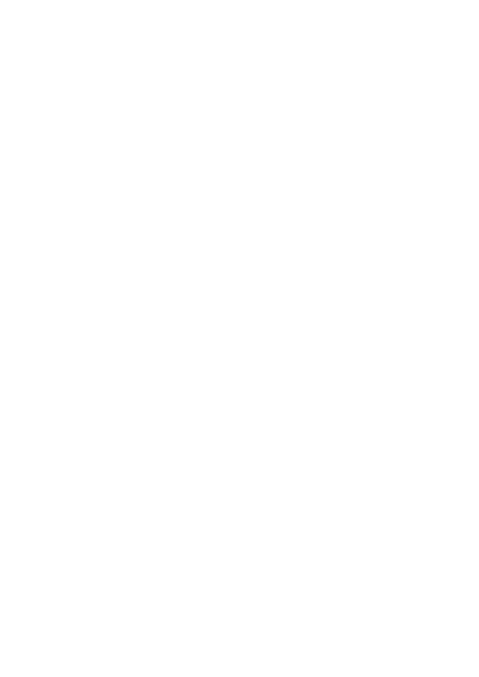onsite or off-site generated ground gas whilst the investigation of risk to groundwater must establish whether the site is a possible source, or could be a pathway for, groundwater pollution to both the abandoned Federal Mogul well and the CBL Drinks Ltd well close to the junction between Riverside Road and Burntland Avenue. The comments provided by Environmental Health provide further details of the matters which much be addressed.

In addition, should Members be minded to grant consent, it is recommended that the aforesuggested condition requiring the submission of a scheme of working include an asbestos survey and details of how noise, lighting, dust and other airborne pollutants, vibration, smoke, and odour from construction work will be controlled and mitigated.

# **Other Issues**

It is also noted that the proposed development would bring about some wider benefits to the local area, in particular through the redevelopment of a vacant brownfield site, in accordance with UDP policy R2, the creation of additional jobs and affording residents of the area greater consumer choice.

# **Conclusion**

For the reasons given above, it is considered that the proposal broadly accords with the provisions of the adopted UDP, as well as the relevant sections of the NPPF, and in lieu of any material considerations to suggest otherwise, it is recommended that Members grant planning permission, subject to the conditions set out below.

# **Equality Act 2010 - 149 Public Sector Equality Duty**

During the detailed consideration of this application/proposal an equality impact assessment has been undertaken which demonstrates that due regard has been given to the duties placed on the LPA's as required by the aforementioned Act.

As part of the assessment of the application/proposal due regard has been given to the following relevant protected characteristics:

- age;
- disability;
- gender reassignment;
- pregnancy and maternity;
- race;
- religion or belief;
- sex;
- sexual orientation.

The LPA is committed to (a) eliminating discrimination, harassment, victimisation and any other conduct that is prohibited by or under the Equality Act 2010; (b) advance equality of opportunity between persons who share a relevant protected characteristic and persons who do not share it; (c) foster good relations between persons who share a relevant protected characteristic and persons who do not share it.

In addition, the LPA, in the assessment of this application/proposal has given due regard to the need to advance equality of opportunity between persons who share a relevant protected characteristic and persons who do not share it. This approach involves (a) removing or minimising disadvantages suffered by persons who share a relevant protected characteristic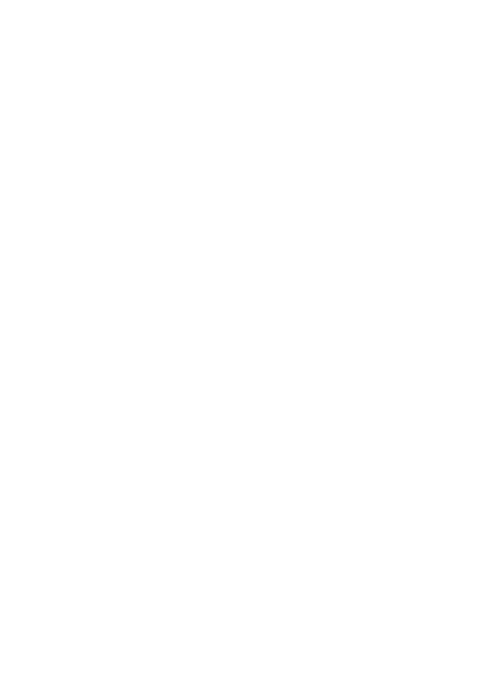that are connected to that characteristic; (b) take steps to meet the needs of persons who share a relevant protected characteristic that are different from the needs of persons who do not share it; (c) encourage persons who share a relevant protected characteristic to participate in public life or in any other activity in which participation by such persons is disproportionately low.

The LPA has taken reasonable and proportionate steps to meet the needs of disabled persons that are different from the needs of persons who are not disabled include, in particular, steps to take account of disabled persons' disabilities, as part of this planning application/proposal.

Due regard has been given to the need to foster good relations between persons who share a relevant protected characteristic and persons who do not share it involves. Particular consideration has been given to the need to:

- (a)tackle prejudice, and
- (b)promote understanding.

Finally, the LPA recognise that compliance with the duties in this section may involve treating some persons more favourably than others; but that is not to be taken as permitting conduct that would otherwise be prohibited by or under this Act.

**RECOMMENDATION:** it is recommended that Members grant planning permission, subject to the conditions set out below.

# **Conditions:**

- 1 Application for approval of the reserved matters shall be made to the Local Planning Authority before the expiration of three years from the date of this permission and the development hereby permitted shall be begun before the expiration of two years from the date of approval of the last reserved matters to be approved, pursuant to the provision of Section 92 of the Town and Country Planning Act 1990, as amended by section 51 of the Planning and Compulsory Purchase Act 2004.
- 2 Approval of the appearance, means of access, landscaping, layout and scale of the development (hereinafter referred to as the "reserved matters") shall be obtained from the Local Planning Authority, in writing, before any development is commenced. Plans and particulars of the reserved matters shall be submitted utilising an appropriate planning application form and shall be carried out as approved. As the application is in outline only and no details have been submitted of the reserved matters set out above, they are reserved for subsequent approval by the Local Planning Authority.
- 3 The development hereby approved shall be carried out wholly within the application site as defined by the red line boundary of drawing number AL(0)001 received 29.02.2016, in order to ensure that the completed development accords with the scheme approved and to comply with policy B2 of the adopted Unitary Development Plan.
- 4 No convenience goods (i.e. food, beverages, tobacco, newspapers and periodicals and non-durable household goods) shall be sold from the premises and the gross external retail floor area of the development shall not exceed 929 square metres, in order to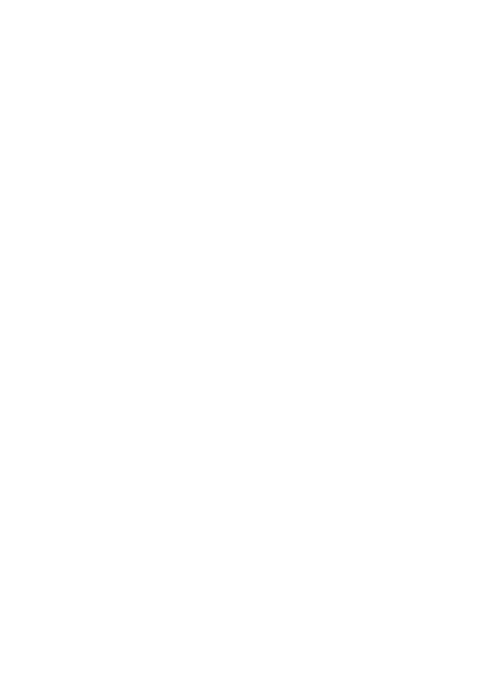protect the vitality and viability of local centres and to comply with paragraphs 26 and 27 of the National Planning Policy Framework and policies S1 and S3 of the adopted Unitary Development Plan.

- 5 Notwithstanding any indication of materials which may have been given in the application, no development shall take place, other than site investigation and remediation works, until a schedule and/or samples of the materials and finishes to be used for the external surfaces, including walls, roofs, doors and windows has been submitted to and approved in writing by the Local Planning Authority. Thereafter, the development shall not be carried out other than in accordance with the approved details; in the interests of visual amenity and to comply with policy B2 of the adopted Unitary Development Plan.
- 6 No development shall commence until a tree impact assessment and method statement for the protection of all trees to be retained have been submitted to and approved, in writing, by the Local Planning Authority and all tree protection measures have been fully installed in accordance with the agreed details, which shall remain in place until the development is completed, in order to ensure that no damage is caused to trees during construction work and to comply with policy CN17 of the adopted Unitary Development Plan.
- 7 No development shall take place until a scheme that includes the following components to deal with the risks associated with contamination of the site has been submitted to and approved, in writing, by the Local Planning Authority:

1) A site investigation scheme, based on the submitted Phase 1 Land Quality Report and comments provided by the Council's Environmental Health section dated 19.05.2016, to provide information for a detailed assessment of the risk to all receptors that may be affected, including those off site.

2) The results of the site investigation and detailed risk assessment referred to in 1) and, based on these, an options appraisal and remediation strategy giving full details of the remediation measures required and how they are to be undertaken.

3) A verification plan providing details of the data that will be collected in order to demonstrate that the works set out in the remediation strategy in 2) are complete and identifying any requirements for longer-term monitoring of pollutant linkages, maintenance and arrangements for contingency action.

Any changes to these components require the express written consent of the Local Planning Authority. The scheme shall be implemented as approved, in order to comply with the requirements of paragraph 109 of the National Planning Policy Framework and policy EN14 of the adopted Unitary Development Plan.

8 No use hereby approved shall commence until a verification report demonstrating Completion of works set out in the approved remediation strategy and the effectiveness of the remediation shall be submitted to and approved, in writing, by the local planning authority. The report shall include results of sampling and monitoring carried out in accordance with the approved verification plan to demonstrate that the site remediation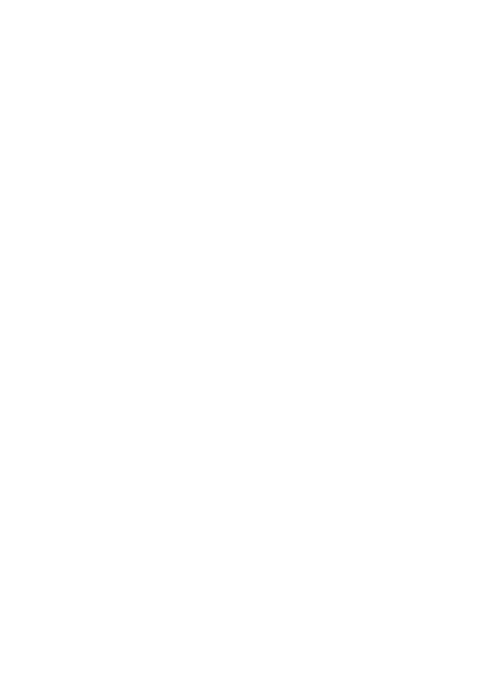criteria have been met. It shall also include any plan (a "long-term monitoring and maintenance plan") for longer-term monitoring of pollutant linkages, maintenance and arrangements for contingency action, as identified in the verification plan. The long-term monitoring and maintenance plan shall be implemented as approved, in order to comply with the requirements of paragraph 109 of the National Planning Policy Framework and policy EN14 of the adopted Unitary Development Plan.

- 9 If, during development, contamination not previously identified is found to be present at the site then no further development (unless otherwise agreed in writing by the Local Planning Authority) shall be carried out until a remediation strategy has been submitted to and approved, in writing, by the Local Planning Authority detailing with how this unsuspected contamination shall be dealt. The remediation strategy shall then be implemented in accordance with the approved details, in order to comply with the requirements of paragraph 109 of the National Planning Policy Framework and policy EN14 of the adopted Unitary Development Plan.
- 10 No development shall take place, other than site investigation and remediation works, until a scheme of working has been submitted to the satisfaction of the local planning authority; such scheme shall include an asbestos survey, days and hours of working, siting and organisation of the construction compound and site cabins, routes to and from the site for construction traffic and measures to ameliorate noise, lighting, dust and other airborne pollutants, vibration, smoke, and odour from construction work, including a method of ensuring that no dirt and debris spreads on to the surrounding road network. All works shall be carried out in accordance with the submitted details, in order to protect the amenity of the area and the wellbeing of workers to comply with policies, B2, EN5 and T14 of the adopted Unitary Development Plan.
- 11 No development shall take place, other than site investigation and remediation works, until full details of the management of foul and surface water, including a timetable for their implementation and a strategy for their maintenance, have been submitted to and approved, in writing, by the Local Planning Authority and the scheme shall be implemented in full accordance with the approved details, to ensure that satisfactory drainage is provided for the development to prevent the increased risk of flooding, to improve and protect water quality, habitat and amenity and to comply with paragraph 103 of the National Planning Policy Framework and policies EN12 and B24 of the adopted Unitary Development Plan.
- 12 No development shall take place, other than site investigation and remediation works, until details of the provision of secure storage for bicycles have been submitted to and approved, in writing, by the Local Planning Authority and the development shall not be brought into use until such facilities have been fully installed in accordance with the approved details, which shall be appropriately maintained thereafter, in order to promote a sustainable mode of transportation and to comply with paragraph 75 of the National Planning Policy Framework and policy T9 of the adopted Unitary Development Plan.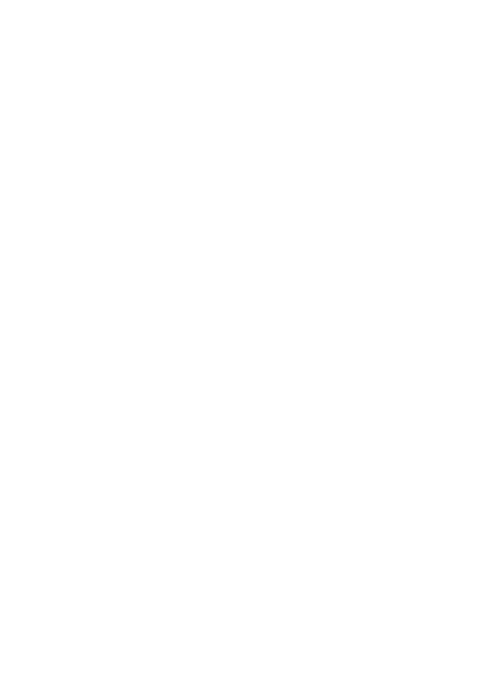| 2.                                                               | <b>North</b><br>Sunderland                                                                                                                                                                                    |  |  |
|------------------------------------------------------------------|---------------------------------------------------------------------------------------------------------------------------------------------------------------------------------------------------------------|--|--|
| <b>Reference No.:</b>                                            | 16/00426/FUL Full Application                                                                                                                                                                                 |  |  |
| Proposal:                                                        | Change of use from now vacant existing cafe/coffee shop<br>style use to Hot Food Takeaway (Use Class A5) to include<br>single storey extension to rear and installation of 2 no.<br>extraction flues to rear. |  |  |
| <b>Location:</b>                                                 | Former The Coffee Mill Cafe 146 Newcastle Road Sunderland SR5 1NA                                                                                                                                             |  |  |
| Ward:<br><b>Applicant:</b><br>Date Valid:<br><b>Target Date:</b> | <b>Fulwell</b><br>Dr Anton Lang<br>14 March 2016<br>9 May 2016                                                                                                                                                |  |  |

#### **Location Plan**



'This map is based upon the Ordnance Survey material with the permission of the Ordnance Survey on behalf of the Controller of Her Majesty's Stationery Office © Crown copyright. Unauthorised reproduction infringes Crown copyright and may lead to prosecution or civil proceedings. Licence No. 100018385. Date 2016.

**PROPOSAL:**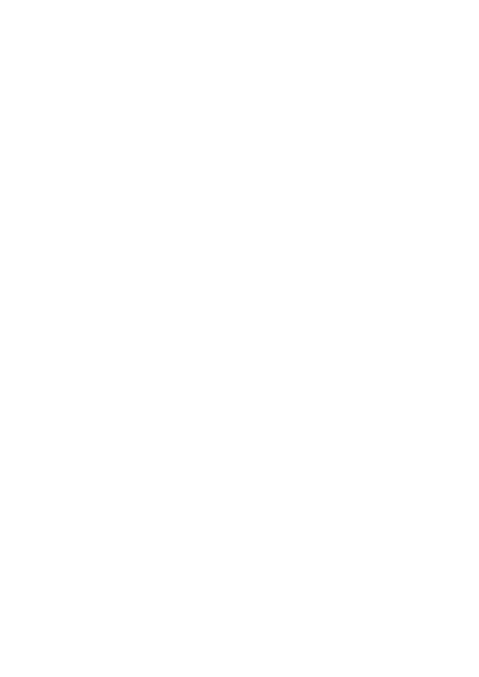Planning permission is sought to change the use of a former coffee shop to a hot food takeaway to include a single storey extension to the rear and the installation of 2no extraction flues to the rear.

The host site is located within a small parade of six commercial properties with residential flats above on the eastern side of Newcastle Road which is a classified road leading into the city centre. The uses currently found within the parade include a funeral director, two hot food takeaways, a convenience store and a hair and beauty business. The unit subject of this application was understood to have operated as a coffee shop/café until December 2015.

Beyond the confines of the commercial parade the fronting street scene is largely residential in character although the expansive Monkwearmouth Hospital site lies to the immediate south. The residential terraces of Elizabeth Street and Joanna Street sit behind the commercial parade to east of the access lane which runs to the rear.

Internally the layout indicates that a waiting area would be provided to the front of the unit with the service counter and cooking range positioned behind. The ground floor offshoot would be utilised as a kitchen/preparation area, store room, w.c and bin store. The upper floor is, in common with the remainder of the commercial parade, utilised as a residential flat and the agent has intimated that it would be occupied by the future manager of the business.

Physical development is proposed within the rear yard area comprising a single storey rear extension which would infill the full depth of the yard. The extension would be flat roofed and would serve to house a notable proportion of the ducting works as required for the proposed canopy extraction and range extraction. The ducting would exit the flat roof at two points with one flue running up the side of the first floor offshoot and the other running up the rear elevation of the main building. The remainder of the rear extension is shown to be utilised as a rear store room.

The operating times as stipulated within the application form are between 09:00 - 22:30 Monday to Fridays and Sundays and Bank Holidays whilst it is proposed to operate from 09:00 to 23:00 on Saturdays. It is anticipated that the use would provide 5 full time and 4 part time jobs.

A planning application of this nature would normally be determined under the powers afforded to Officers under the Council's scheme of delegation; however, it has been referred to the Development Control Sub-Committee (North area) at the request of Councillor Francis.

# **TYPE OF PUBLICITY:**

Site Notice Posted Neighbour Notifications

# **CONSULTEES:**

Fulwell - Ward Councillor Consultation Environmental Health Network Management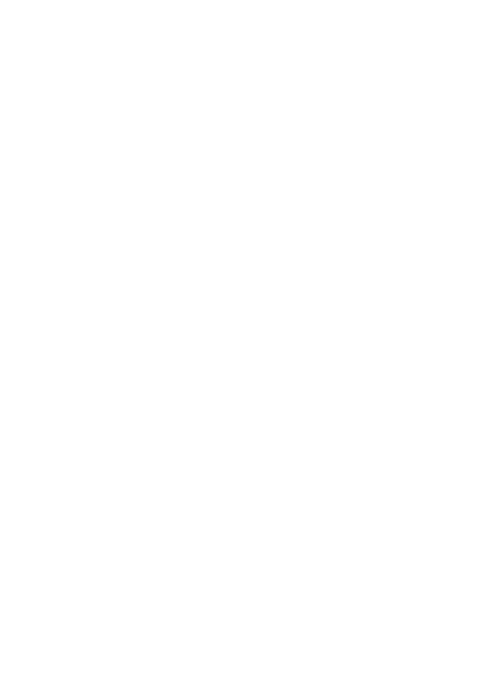# **REPRESENTATIONS:**

Public Consultation -

As a result of the public consultation carried out objections were received from 7 properties within the nearby vicinity. Some households submitted multiple representations (4 were received from No.1 Elizabeth Street and 3 were received from 2 Joannah Street). In addition a petition containing 36 signatures was also submitted.

In respect of the above, the main areas of concern relate to;

- 1. Noise, disturbance and smells emanating from the use.
- 2. Parking issues and general traffic generation within the area.
- 3. Litter/antisocial behaviour.<br>4. The existing number of hot
- The existing number of hot food uses within the terrace and wider area.
- 5. The correlation between hot food uses, health and levels of obesity.

Internal consultation -

Network Management - Following consultation with the City Council's Network Management Section the following observations were made.

- 1. Newcastle Road is a busy distributor road with a high demand for on-street parking, this particular premises is located within a small parade of shops with a dedicated parking area to the front.
- 2. Visibility at the junctions on Newcastle Road is extremely poor due to the nature of the on street parking in the area although there are no recorded incidents over the last 3 years at the junction to the north (Joannah Street) or south (Elizabeth Street).
- 3. Clarification should be sought on servicing/deliveries and staff/delivery parking.
- 4. It would appear that 1-2 in-curtilage parking spaces would be removed as a result of the extension. This is to be strongly resisted and the parking should be retained.
- 5. There are existing parking restrictions to the front of the parade (Mon-Sat 8am-6pm, 1 hour, no return within 1 hour).
- 6. The change of use from coffee shop/cafe to a hot food takeaway is considered an intensification of use and would likely increase traffic in the nearby residential streets and back lane, to the detriment of road safety and residential amenity.

Environmental Health -

Regard should be had to the potential for odorous and noise emissions from the proposed hot food shop to give rise to complaints of nuisance and disturbance from nearby residential properties.

The ventilation, extraction system and filtration systems/equipment and the sound and odour insulation materials shown on the submitted plans and documents are considered acceptable and must be installed as per the approved plans and documents, operated at all times the use is operational, and maintained as per the manufacturers advice and guidelines. Should any element of the approved systems be altered then full detail must be submitted for further approval in writing by the Local Planning Authority before installation or commencement of use.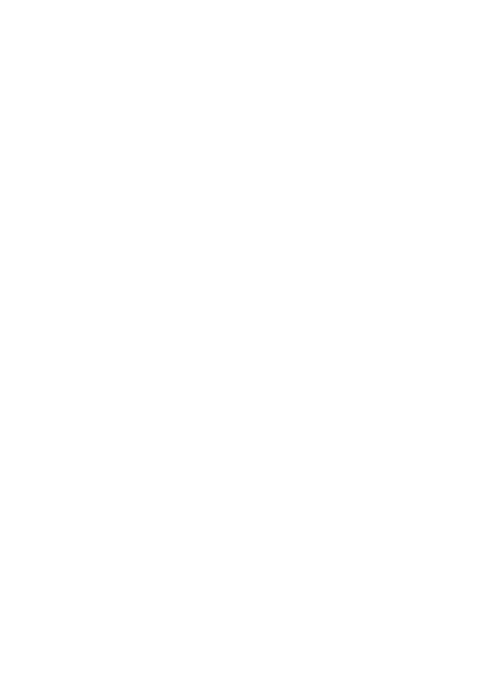A residential dwelling is located directly above the proposed takeaway. As such particular attention must be given to the design specification and construction methods and practice to ensure that adequate protection is afforded to the first floor occupants with regard to noise and odorous emissions.

It is recommended that the opening hours of the proposed takeaway be restricted to prevent late night disturbance that may result in a statutory nuisance to local residents.

To minimise disturbance to local residents it is recommended that a condition be placed on any consent prohibiting the use of the rear of the premises for deliveries relating to any takeaway service that may be offered.

The applicant must ensure that suitable provision for the disposal of refuse, in particular food waste, to deter the attraction of pests.

# **POLICIES:**

In the Unitary Development Plan the site is subject to the following policies;

EN\_10\_Proposals for unallocated sites to be compatible with the neighbourhood

B 2 Scale, massing layout and setting of new developments

S 3 Support to other existing centres, local groups and small shops, including new provision

S\_12\_Criteria for hot food take-aways, restaurants, other A3 uses and amusement centres

T\_14\_Accessibility of new developments, need to avoid congestion and safety problems arising

# **COMMENTS:**

Relevant policy background -

The National Planning Policy Framework (NPPF) provides the current Government's national planning policy guidance and development plans must be produced, and planning applications determined, with regard to it. The NPPF sets out a series of 12 'core planning principles' which underpin plan-making and decision-taking and are considered to contribute to the over-arching aim of delivering sustainable development. Particularly relevant in this case are the principles that development should always seek to secure a high quality design and a good standard of amenity; should proactively drive and support sustainable economic development and should encourage the effective re-use of land and property.

The relevant guidance of the NPPF detailed above feeds into policies EN10, B2, S3, S12 and T14 of the City Council's adopted Unitary Development Plan (1998), which are consequently considered to be pertinent to the determination of this application.

Policy EN10 of the UDP requires new development proposals to respect the existing pattern of land use in areas where there is no specific land use allocation.

Policy S3 of the UDP seeks to retain existing shopping centres, local groups and small shops providing for everyday needs including those falling into the former use class A3 (food and drink uses where appropriate), providing that an acceptable level of everyday shopping remains and the proposed use will not conflict with the established uses in the neighbourhood or other relevant UDP policies. It should be noted at this point that the Town and Country Planning (Use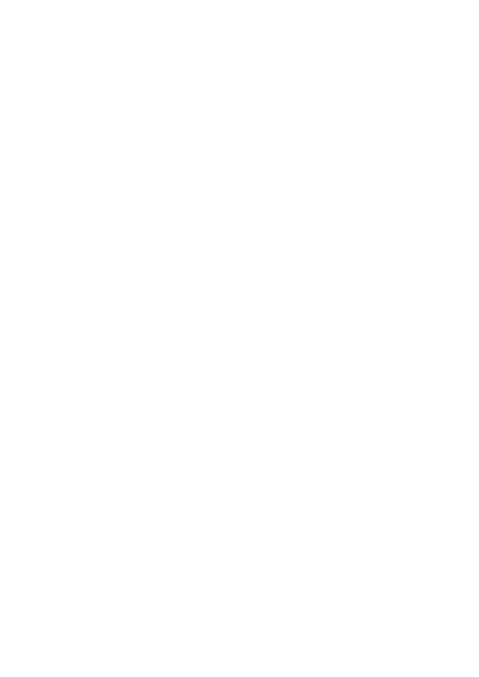Classes) Order was amended in 2006 and the former use class A3, which incorporated all food and drink related uses, was replaced by a new use class A3 (restaurants, snack bars and cafes), use class A4 (pubs and bars) and use class A5 (hot food takeaways).

Policy S12 states that hot-food takeaways are generally acceptable if they are located within an existing town or local centre but proposals must not have a detrimental impact on the environment, residential amenity and public or highway safety. The requirements of policy S12 are expanded upon in section 9 of Supplementary Planning Guidance (SPG) to the UDP, which states that applications for A5 uses must be set against the need to protect the amenities of residential properties from noise and disturbance associated with food preparation and vehicle and pedestrian movement. Hot-food takeaway proposals for units set within smaller retail parades will not normally be considered acceptable where there are residential dwellings within 50 metres and applications for hot food takeaways which are likely to lead to car parking on residential roads in evening periods and which would be likely to cause nuisance to nearby residents should not normally be permitted.

Also relevant are policies B2, which requires new development proposals to maintain an acceptable standard of visual and residential amenity, and T14, which states that new development must not result in conditions which are prejudicial to highway and pedestrian safety.

Considerations -

With regard to the above, it is considered that the main issues to assess in the determination of this application are as follows:

- 1. The principle of the proposed use;
- 2. The impact of the development on visual amenity
- 3. The impact of the development on residential amenity
- 4. The impact of the development on highway and pedestrian safety
- 5. Other matters arising

# **1. Principle of development**

The application premises and adjoining units are not allocated for a specific land use on the proposals map of the UDP. As such the proposal is subject to policy EN10. This policy dictates that where the UDP does not indicate any proposals for change, the existing pattern of land use is intended to remain and development in such areas must be compatible with the prevailing character of the area.

The unit is located within a longstanding commercial parade within which a variety of uses are found including two hot food takeaways the most recent of which was approved in 2013. The parade serves to provide small scale facilities and amenities for residents within the general vicinity and within this context the introduction of a takeaway would not be considered particularly out of character with the existing commercial nature of the parade. Consequently, the proposal is therefore considered to broadly accord with the requirements of policies EN10 and S12 of the UDP in this regard.

However, in line with the requirements of both policies S3, S12 and Section 9 of the SPG, an assessment of the impact of the proposed use on the amenity of nearby residential dwellings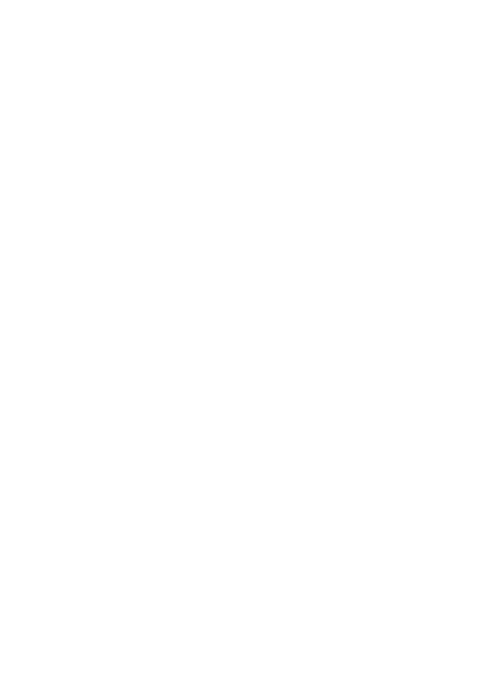(many of which are within 50 metres of the application site) and highway and pedestrian safety is necessary in order fully consider the merits of the proposal. Such an assessment is provided below.

# **2. Impact of development on visual amenity**

The physical works proposed by the application include the erection of a single storey rear extension which will run the full depth of the rear yard and the installation of 2no extraction flues to serve the new use. The extension would present a flat roof to a maximum height of 3.3m and would serve to house a proportion of the ducting for the two extraction ranges and a rear store room.

Due to the high boundary walls that run along the rear of the site the majority of the extension would not be visible from the rear lane. It is however noted that a proportion of the development would be constructed above the existing height of the rear boundary wall (approximately 1m) and this element would be visible from within the confines of the rear lane environment. The application confirms that a red brick to match the rear boundary walls is proposed within the build.

It was evident during the officer site visit that existing development to the rear of the commercial properties was not consistent in form or scale and that significantly more substantial development has been constructed to the rear of No.150 and 132 to the north and south of the terrace respectively. Consequently, it is not considered that the rear extension would appear out of character or visually discordant within the context of what is considered a secondary street scene.

The two extraction systems would exit through the roof of the new rear extension with one positioned adjacent to the first floor of the offshoot and the other running up the rear elevation of the main building and adjacent to a further flue at the neighbouring property. Due to the scale and massing of the development that is present to the rear of No.150, the flues would be largely screened from Joannah Street to the north whilst only limited views would be afforded from Elizabeth Street to the south. Whilst the installations would be of prominence when viewed within the rear lane they would not directly interface at close quarters with any neighbouring residential windows.

Within such a context, it is considered that whilst the rear extension and flues would be visible from within the rear lane environment, they would not appear unduly obtrusive or harmful to the visual amenity of the locality, in accordance with the requirements of policy B2 of the UDP.

# **3. Impact of development on residential amenity**

Policies S3 and S12 of the UDP and section 9 of the SPG require the impact of the use on the amenity of nearby residential properties to be duly considered. In this respect, the host unit forms one of six commercial units which are located on a heavily trafficked arterial route into the city. Flats are however located above the ground floor commercial uses whilst the wider area is largely residential in character and a number of dwellings sit within 50m of the application site.

The amenity of residential properties can be detrimentally affected by a hot food takeaway due to the noise, disturbance and smells/odours which such a use may generate. Each matter is considered in turn below.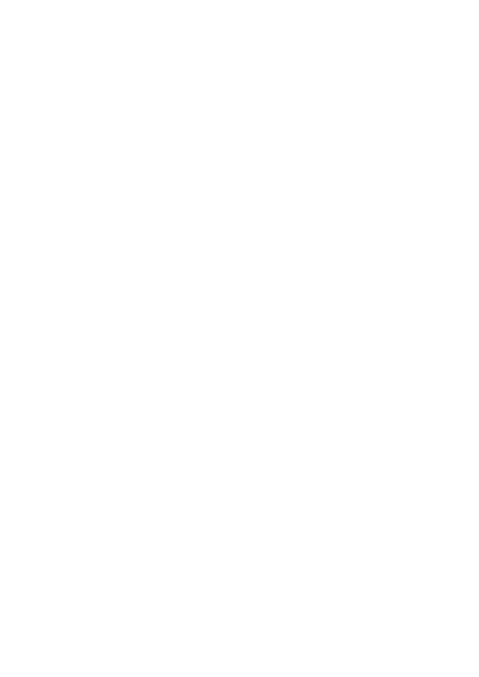# Smells/odours and waste

The generation of smells and odours emanating from the use and the presence of litter/waste within the lane to the rear of the parade has been raised as a concern by a number of residents who have objected to the development. In this particular instance it is evident that there are already two takeaways operating from within the parade and following consultation with the City Council's Public Protection and Regulatory Service it is apparent that there have, very recently, been two complaints received regarding odour and waste nuisance from the existing hot food shops. At the time of writing this report these complaints are currently under investigation and have yet to be substantiated but Public Protection and Regulatory Service have confirmed that they have the appropriate powers available to them to resolve any issues that are identified should action be warranted.

Notwithstanding the above, it is the City Council's experience that, in determining appeals against the refusal of hot-food takeaways, Planning Inspectors generally accept that modern extraction and ventilation systems are able to mitigate smells and odours to the extent that residential amenity is not unduly impinged upon. This approach is evident in the following appeal decisions issued by the Planning Inspectorate (PINS):

- 159 Hylton Road application ref. 09/04325/FUL, PINS ref. APP/J4525/A/10/2124863/NWF
- 41-43 Eden House Road application ref. 12/00945/FUL, PINS ref. APP/J4525/A/12/2178337/NWF
- 53 Revelstoke Road application ref. 12/01445/FUL, PINS ref. APP/4525/A/13/2191861/NWF

This application is accompanied by full details of the specification and layout of the proposed extraction system and the City Council's Public Protection and Regulatory Service have considered the system to be of a high quality specification.

The plans also illustrate that a designated bin store will be provided to the rear of the existing offshoot which will ensure that all waste associated with the use will be contained within the confines of the site. In more general terms the dropping of litter is a criminal offence and can be controlled by the relevant policing authority. There is a public litter positioned at the front of the parade and others throughout the street to allow for any waste from the proposed takeaway to be properly disposed and there clearly has to be a large proportion of personal accountability in such matters. In planning terms this issue can only be given limited material weight in determining the overall acceptability of the proposal.

The concerns of objectors in relation to the generation of smells, odours and waste have been noted, but, having regard to the aforementioned appeal decisions and the comments offered by the Council's Public Protection and Regulatory Service, it is considered that there is no material evidence to suggest that the proposed extraction system would not be capable of appropriately mitigating smells and odours to a satisfactory level. A condition would however need to be attached to any consent granted to ensure that the specified ventilation, extraction and filtration systems and sound & odour insulation material are installed as per approved plans.

#### **Disturbance**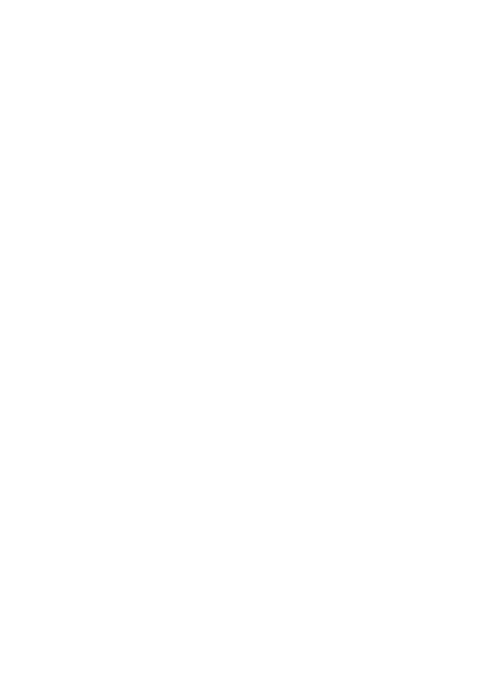The disturbance associated with a hot-food takeaway is generated by the activities surrounding the use, such as the noise of customers' conversation inside and outside the unit, the noise from the engines of customers' vehicles parked on streets around the property and the slamming of doors of the building and customers' vehicles.

Whilst it could be argued that the presence of the takeaway may result in some local residential properties experiencing a limited degree of additional noise and disturbance in the evening, regard must also be given to the context of the application site. The business premises lie on a heavily trafficked arterial route into the city and within a parade which already experiences a degree of early to late evening activity due to the existence of two takeaways. As such, it could not be considered that the use would be introducing a level of noise and disturbance to the area that does not already exist in some form already. In addition the presence of the dedicated parking area for the front of the parade (6 bays) would appear to be able to accommodate the majority of car borne visits to the proposed and existing hot food uses during the evening periods thereby minimising future disturbance for residential occupiers of Joannah and Elizabeth Street to the east.

It is noted that there is a residential flat above the unit and it has been confirmed that the flat would likely be occupied by the manager of the takeaway. Notwithstanding, the submitted plans illustrate that sound proofing and odour mitigation measures are to be installed between the ground and first floor of the properties and it would be expected that such mitigation is fitted prior to the operation of the hot food use. This can be conditioned accordingly.

Any potential noise emanating from the extraction system is likely to be diminished given the housing and insulation that would be provided by the rear extension.

Within a number of objections comparison has been made between this proposal and two previous planning applications which were refused on the corner of Newcastle Road and Crozier Street in 2014. (No's 91 and 93 Newcastle Road)

Having considered the reports prepared for those applications there are considered to be notable material differences between the site specific circumstances. The officer reports complied for those applications clearly identifies that the properties of 91 and 93 are situated adjacent to the traffic light-controlled junction of Newcastle Road and Crozier Street and that parking and waiting restrictions associated with the traffic lights precludes vehicles stopping directly in front of the premises. Consequently, it was concluded that car-borne customers, staff and delivery vehicle drivers would be solely reliant on the adjacent Crozier Street and the wholly-residential side-streets of Warwick Street and Netherburn Road thereby leading to the generation of noise and disturbance for residents in the later evening periods as a result of comings and goings associated with the use.

Each planning application must be considered on its own individual merit and as has been identified above, the principle of hot food uses has already been established within this parade following approvals in 1984 and more recently in 2013, whilst the parade also benefits from dedicated parking to the front of the units thereby minimising the potential for customer parking to be carried out within the adjacent side streets.

In general the operational hours proposed by the applicant are considered to be reasonable however it is considered that Saturday closing of 23.00 rather than 23.30 would be more appropriate given the wider character of the area. In addition it is considered to be reasonable to expect that any takeaway deliveries associated with the use are dispatched from the front of the premises to avoid disruption to residential occupiers to the rear. Both the operational hours and deliveries can be conditioned accordingly.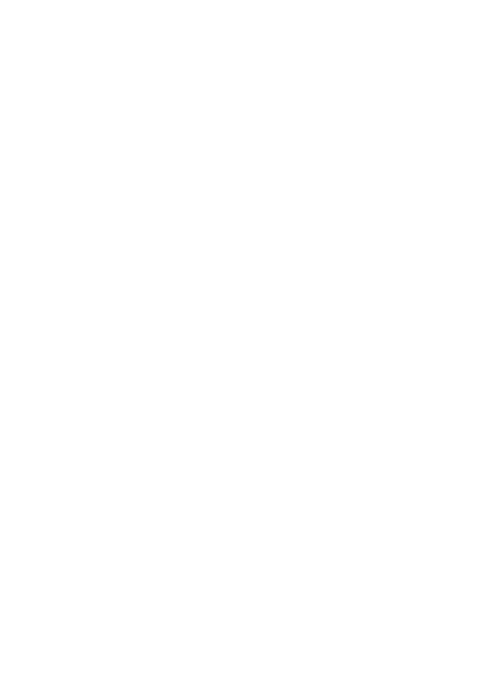# **4. Highway Implications**

Paragraph 32 of the National Planning Policy Framework (NPPF) sets out that development should only be prevented or refused on transport grounds where the residual cumulative impacts of the development are severe.

UDP Policy T14 aims to ensure that new developments are easily accessible to both vehicles and pedestrians, should not cause traffic problems, should make appropriate provision for safe access by vehicles and pedestrians and indicate how parking requirements will be met.

Section 9.1b(i) of the SPG states that 'take-away hot food shops will not normally be permitted without adequate on-street or other short stay parking provision, which should be conveniently located for use by customers and should not result in hazardous conditions for pedestrians, vehicles and other road users.'

As discussed earlier in the report and following the initial consultation, the Council's Network Management team had requested further clarification from the agent in respect of serving, deliveries and staff parking, whilst concern was expressed over the loss of the in-curtilage parking within the rear yard as a result of the rear extension.

The agent has responded on the basis that they do not believe that the loss of a single incurtilage parking space could be classed as a severe cumulative impact and has cited the sustainable location of the parade on a bus route. The agent has also confirmed that deliveries and servicing will be undertaken using the roadways that surround the site and the existing access points to the front and back.

Evidently there is currently a high demand for on street parking within the surrounding streets and many representations have identified that this is a significant issue for residents living in the area. The vast majority of the on-street parking would appear to be related to the nearby presence of Monkwearmouth Hospital and during an officer site visit conducted around midday, it was noted that there was little parking capacity within surrounding highway network. Further, visits to the site and surrounding streets post 6pm did however identify that the streets were much less intensively parked once the hospital staff/visitors had gone home for the day.

By way of addressing the evident parking issues within the area the City Council's Network Management Section has confirmed that there is a draft proposal to create a Parking Management Scheme which would include the host parade, the rear lane, Joannah Street and Elizabeth Street. The intention of the scheme is to prohibit parking in these streets between the hours 09.30 - 10.30 and 14.30 - 15.30. Residents and business owners will however have the opportunity to obtain a permit permitting parking during the aforementioned hours.

Given the nature of the use it is anticipated that most of the customer led parking would be carried out during the early to late evening periods when hot food uses generally do the majority of their trade and when the surrounding highway network is not so intensively parked. Whilst the comments received from Network Management have suggested that the proposal would result in an intensification in use and a likely increase in traffic within the nearby streets, given the context of the site there is no reason to suggest that the majority of the vehicular movements associated with the proposal would not be confined to the allocated bays to the front of the parade where access to the unit is more convenient. Any overspill from these bays could likely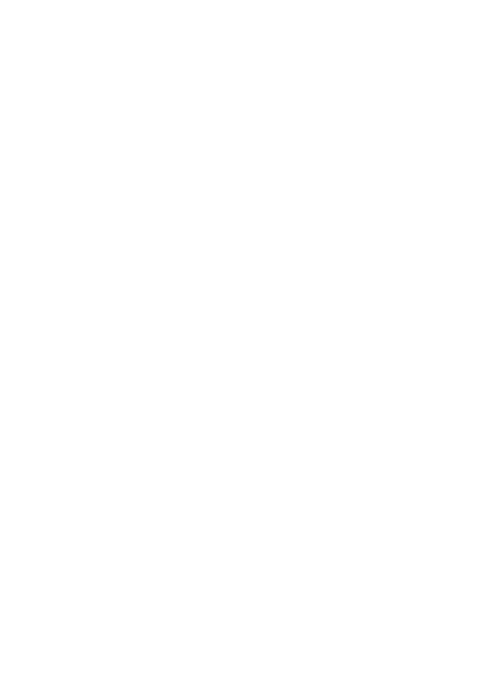be accommodated along the southern and northern gables of No's 132 and 150 Newcastle Road respectively without causing detriment to highway safety whilst precluding direct any interface with nearby residential properties on Joannah Street and Elizabeth Street.

On the basis of the above, Network Management have confirmed that whilst the change of use would likely generate an increase in traffic movements to the site, these would be contained outside of peak periods. Consequently, the overall impact of the development, including the loss of the in-curtilage parking space to the rear is not considered to represent sufficient grounds to suggest that the residual cumulative impacts of the development would be severe enough to warrant a refusal based on highway grounds.

In this instance the impact of the proposed use on highway and pedestrian safety is considered to be acceptable, in accordance with the requirements of policy T14 of the UDP, Section 9 of the SPG and paragraph 32 of the NPPF

# **5. Other matters arising**

Representations have been received from a number of nearby occupiers referencing that there is generally an oversupply of takeaways within the wider area (Citing Sea Road, Fulwell Road and North Bridge Street) and that another hot food use is not needed or wanted.

Comments have also been received from objectors regarding the Council's agenda for improving health and well-being. These comments are understood and echo many of the sentiments of communities across the country where local authorities have observed a rise in the number and density of hot food takeaways in recent years.

Evidently an approval in this instance would result in 50% of the parade being utilised for the purpose of hot food, however the City Council, acting in its capacity as Local Planning Authority (LPA), has no adopted policy grounds to resist or curtail hot food takeaways based simply on numbers within a general area or the that fact that grouping may occur within a particular parade or shopping street.

Further, in terms of health, takeaway owners can make choices regarding their menus just as customers can choose when and what to buy. On a more strategic scale, in order for the Council, to consider resisting proposals of this type, it would need to be appropriately demonstrated through the provision of a co-ordinated evidence based policy approach, that an overconcentration of A5 uses would be harmful to a particular community and that there is a link between the numbers of uses and issues regarding health/obesity within a particular community.

The above is considered to be pertinent because in determining a planning application a decision must be reached on the basis of the City Councils existing adopted planning policies. As the Council do not have a co-ordinated evidence based policy approach that can demonstrate and thus inform adopted planning policy that an overconcentration of A5 uses would be harmful to a communities health or well-being, there are considered to be no planning grounds to resist the application based health related concerns.

Some objections have also questioned the morality/decency of opening a takeaway next to a chapel of rest particularly in light of potential anti-social behaviour. In respect of this point it must be stressed that it is not for the planning system to take a moral stance on an individual proposal or the content of any objections that are received. Further it cannot be presumed that a hot-food takeaway use will automatically give rise to anti-social behaviour and such concerns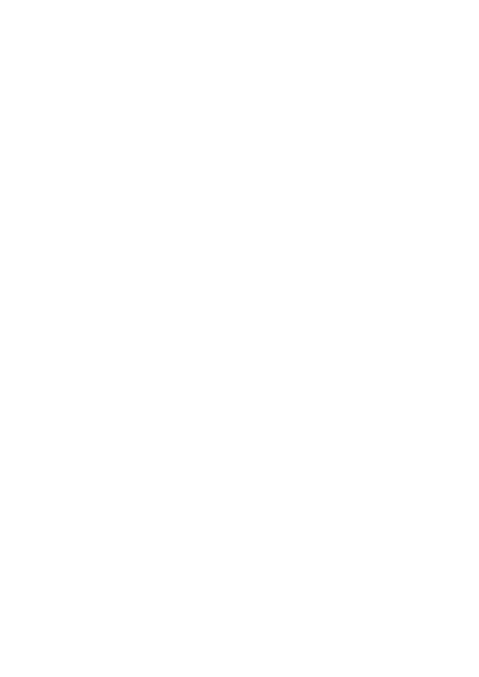could equally be attributed to a late opening retail store/off license within the unit for which planning permission would not be required. In any case, if anti-social issues were to arise, they can be addressed through effective management by staff at the premises and, if necessary, policing.

# **Conclusions**

In considering a planning application regard must be given to the broad aims and objectives of the NPPF, which is generally supportive of any development proposals which will lead to sustainable economic growth and the effective re-use of land and buildings. Local Planning Authorities should only refuse planning permission where the adverse impacts of a development proposal would demonstrably outweigh the benefits it otherwise brings. The Localism Act has also demanded that Local Planning Authorities take greater heed of the opinions, needs and requirements of local residents and communities in both plan-making and decision-taking. In this respect and whilst the strength of feeling expressed by local residents is acknowledged, when reaching a planning decision, the overriding merits of a proposal must be considered and appropriately assessed against the adopted plans and policies that are in place.

In this particular case, it is evident that the principle of establishing hot food uses within the parade has historically been considered to be acceptable with the most recent hot food use approved no less than 3 years ago. Having considered the content of the officer report at that time and based on the reasoning provided within this report, there are considered to be no significant material grounds that have arisen within this intervening period to suggest that a different decision should be reached.

The proposed change of use will have the effect of bringing a vacant commercial unit back into a sustainable use and there are considered to be no overriding material grounds to consider a refusal of planning permission based on amenity grounds or highway safety.

As such, on the basis of the conclusions reached above, it is recommended that Members be minded to approve the application subject to the imposition of the conditions outlined below.

# **Equality Act 2010 - 149 Public Sector Equality Duty**

During the detailed consideration of this application/proposal an equality impact assessment has been undertaken which demonstrates that due regard has been given to the duties placed on the LPA's as required by the aforementioned Act.

As part of the assessment of the application/proposal due regard has been given to the following relevant protected characteristics:

- age;
- disability;
- gender reassignment;
- pregnancy and maternity;
- race;
- religion or belief;
- sex:
- sexual orientation.

The LPA is committed to (a) eliminating discrimination, harassment, victimisation and any other conduct that is prohibited by or under the Equality Act 2010; (b) advance equality of opportunity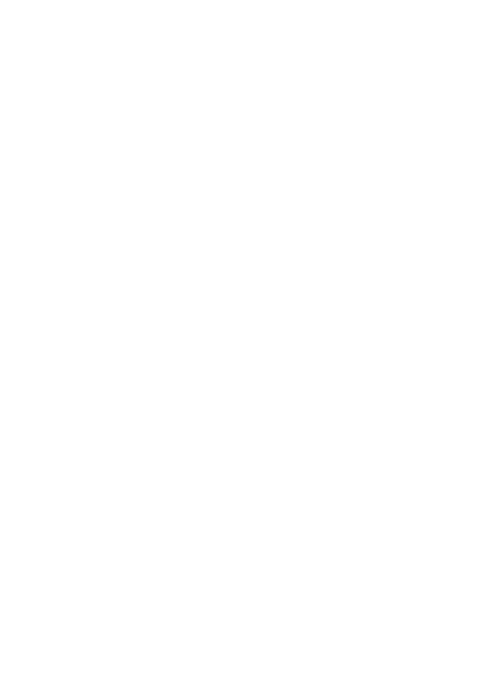between persons who share a relevant protected characteristic and persons who do not share it; (c) foster good relations between persons who share a relevant protected characteristic and persons who do not share it.

In addition, the LPA, in the assessment of this application/proposal has given due regard to the need to advance equality of opportunity between persons who share a relevant protected characteristic and persons who do not share it. This approach involves (a) removing or minimising disadvantages suffered by persons who share a relevant protected characteristic that are connected to that characteristic; (b) take steps to meet the needs of persons who share a relevant protected characteristic that are different from the needs of persons who do not share it; (c) encourage persons who share a relevant protected characteristic to participate in public life or in any other activity in which participation by such persons is disproportionately low.

The LPA has taken reasonable and proportionate steps to meet the needs of disabled persons that are different from the needs of persons who are not disabled include, in particular, steps to take account of disabled persons' disabilities, as part of this planning application/proposal.

Due regard has been given to the need to foster good relations between persons who share a relevant protected characteristic and persons who do not share it involves. Particular consideration has been given to the need to:

(a)tackle prejudice, and

(b)promote understanding.

Finally, the LPA recognise that compliance with the duties in this section may involve treating some persons more favourably than others; but that is not to be taken as permitting conduct that would otherwise be prohibited by or under this Act.

**RECOMMENDATION:** it is recommended that Members be minded to approve the application subject to the imposition of the conditions outlined below

# **Conditions:**

- 1 The development to which this permission relates must be begun not later than three years beginning with the date on which permission is granted, as required by section 91 of the Town and Country Planning Act 1990 as amended by Section 51 of the Planning and Compulsory Purchase Act 2004 to ensure that the development is carried out within a reasonable period of time
- 2 Unless otherwise first agreed in writing with the Local Planning Authority, the development hereby granted permission shall be carried out in full accordance with the following approved plans:
	- The floor plans and elevations as existing and proposed received 14.03.2016 (Plan ref's AD-15-80, Sheets 1 and 2).
	- The site plan as existing and proposed 14.03.2016 (Plan ref AD-15-80, Sheet 3).
	- The location plan received 14.03.2016.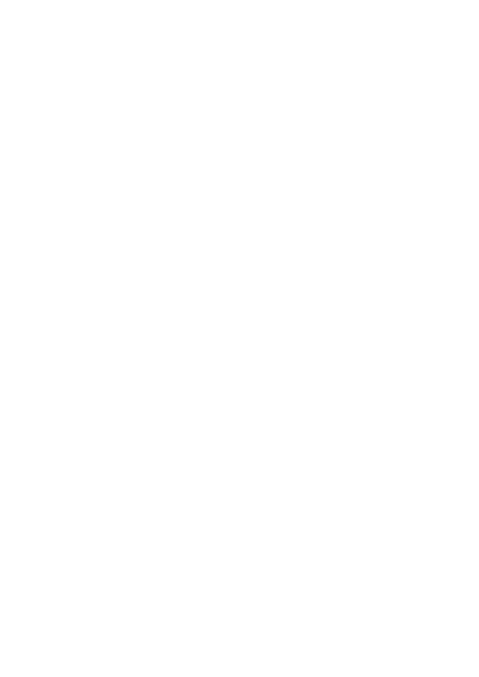In order to ensure that the completed development accords with the scheme approved and to comply with policy B2 of the adopted Unitary Development Plan.

- 3 Notwithstanding any indication of materials which may have been given in the application; the external materials to be used in the construction of the rear extension shall be of the same colour, type and texture as those used in the existing building, in the interests of visual amenity and to comply with policy B2 of the Unitary Development Plan.
- 4 The use hereby approved shall not be operated outside the hours of;

08:00 and 22:30 (Monday to Fridays and Sundays and Bank Holidays) 08:00 and 23:00 (Saturdays)

In order to protect the amenity of local residents and to comply with policies B2 and S12 of the adopted Unitary Development Plan.

- 5 The ventilation, extraction, insulation and filtration system shall be installed as detailed on the submitted plans (Drawing No. AD-15-80: Sheet 2, entitled Proposed Plans and Elevations), and the associated specifications and technical documents received 14.03.2016, prior to the commencement of use of the premises for the purposes hereby approved. Once installed, the system shall be maintained and serviced according to the manufacturer's instructions so that it is fully operational for the lifetime of the use hereby approved, in order to protect the amenities of the area and to comply with policies B2 and S12 of the adopted Unitary Development Plan.
- 6 The scheme of sound proofing illustrated on Drawing No. AD-15-80: Sheet 2, entitled Proposed Plans and Elevations received 14.03.2016, shall be fully installed according to the manufacturers instructions prior to the commencement of the use of the premises for the purposes hereby approved. Once installed, the scheme of sound proofing shall be retained in perpetuity for the lifetime of the use hereby approved, in order to protect the amenities of the residential occupier above and to comply with policies B2 and S12 of the adopted Unitary Development Plan.
- 7 No hot food deliveries shall be dispatched from the rear yard of the premises in order to safeguard the level of amenity currently afforded the neighbouring residential properties to comply with policy B2 of the approved Unitary Development Plan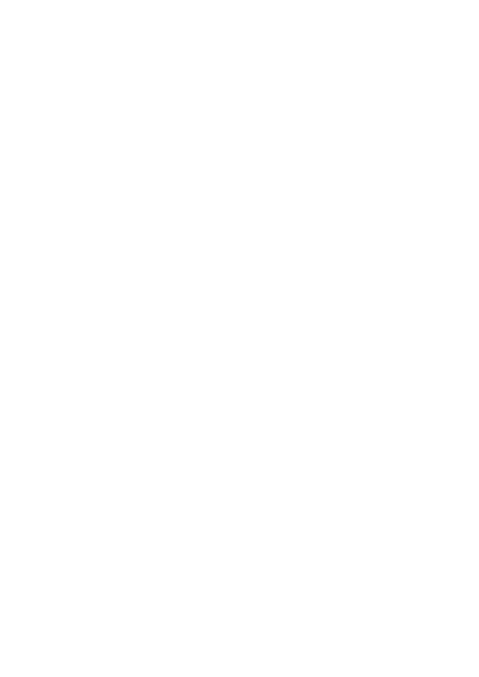| 3.                                                                      | <b>North</b><br>Sunderland                                                                                                                                                                                                                                    |  |  |
|-------------------------------------------------------------------------|---------------------------------------------------------------------------------------------------------------------------------------------------------------------------------------------------------------------------------------------------------------|--|--|
| <b>Reference No.:</b>                                                   | 16/00437/FU4 Full Application (Reg 4)                                                                                                                                                                                                                         |  |  |
| Proposal:                                                               | Change of use of ground floor to tea room, first floor from<br>living accommodation to visitors centre and ancillary sui<br>generis uses. Installation of ground floor window to east<br>elevation and 5 no. conservation roof windows to north<br>elevation. |  |  |
| Location:                                                               | <b>Fulwell Mill Visitor Centre Newcastle Road Sunderland SR5 1EX</b>                                                                                                                                                                                          |  |  |
| Ward:<br><b>Applicant:</b><br><b>Date Valid:</b><br><b>Target Date:</b> | Southwick<br><b>Sunderland North Community Business Centre</b><br>5 April 2016<br>31 May 2016                                                                                                                                                                 |  |  |

# **Location Plan**



'This map is based upon the Ordnance Survey material with the permission of the Ordnance Survey on behalf of the Controller of Her Majesty's Stationery Office ©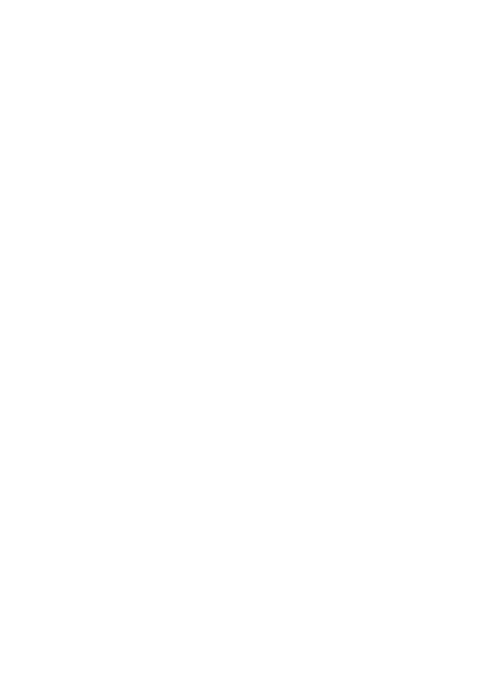# **PROPOSAL:**

The application site relates to the Fulwell Mill Visitors Centre, Newcastle Road, Sunderland. Planning permission is sought for the change of use of the ground floor from a visitors centre into a tea room and from living accommodation on the first floor to a new visitors centre with ancillary uses. The proposal also includes the installation of several new windows and a kitchen extract fan, as described below. The site comprises a visitor centre that was erected in C 2000 and a car park to its south side that is accessed off the A1018 Newcastle Road.

To the north of the site is an area of open space; adjoining to the west is the listed Fulwell Mill whilst to the south west and east are residential dwellings.

The visitor centre has been closed for several years. It previously operated from the ground floor of the building with a managers flat on the first floor above. During 2014 Sunderland North Community Business Centre were selected to re-open the visitor centre and the windmill site. The planning application stems from the need to create a level of income to contribute to the site's operational costs, hence the creation of a 'bistro cafe' on the ground floor and the substitution of the living accommodation on the first floor with the visitor centre itself. The upper floor (which has two rooms and a W.C.) would also be used to run community activities such as children's activity sessions, art and heritage educational classes, therefore fully utilising the upstairs space.

Externally, a new window is proposed in the east elevation of the building facing Newcastle Road, to create an new opening for the cafe on the ground floor. This would effectively replace an existing doorway that is positioned towards the south east corner of the building. It is designed with brick headers and has a vertical emphasis to reflect the existing style of the fenestration on the building. Five no. conservation style roof windows are also proposed along the north elevation of the roof, facing the adjoining area of public open space. Also along the north elevation a small kitchen extract fan is shown. However, the applicant's agent has confirmed that the tea room kitchen is domestic in scale; there are no deep fat fryers or commercial fittings. The main food served will be salad, quiche and jacket potatoes; there will be no hot food preparation on site as such. For this reason a commercial size flue and extract fan is not required.

To accommodate the alterations some internal changes to the building would take place partly to ensure that the public spaces are fully accessible and DDA compliant. In this case the internal alterations do not require planning permission as the building is not listed.

#### **TYPE OF PUBLICITY:**

Neighbour Notifications

#### **CONSULTEES:**

Fulwell - Ward Councillor Consultation Network Management Redhill - Ward Councillor Consultation Environmental Health Southwick - Ward Councillor Consultation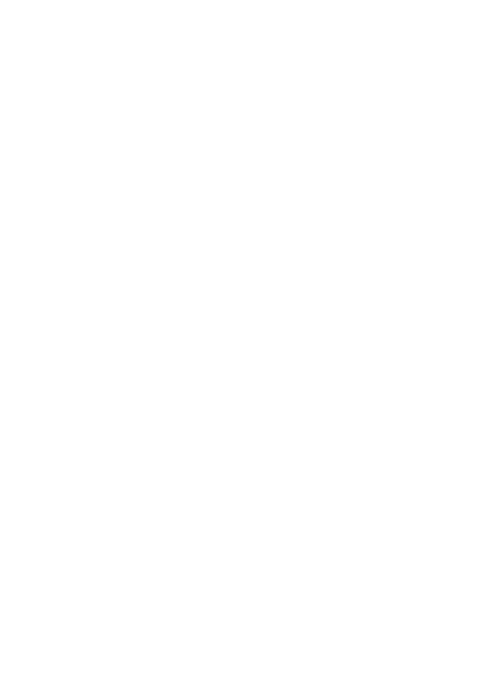Final Date for Receipt of Representations: **26.04.2016**

# **REPRESENTATIONS:**

Neighbours - no responses have been received as a result of the neighbour consultation process.

Network Management - Have raised several comments regarding the how the proposed uses would operate, in particular, the parking and servicing arrangements of any larger vehicles for school visits and other events. This to ensure that no servicing or deliveries take place from the adopted highway. However, it is stated that such matters could be dealt with by way of a condition requiring the submission of an 'Events Management Plan', should panning permission be forthcoming.

# **POLICIES:**

In the Unitary Development Plan the site is subject to the following policies;

NA 5 Provision / improvement of visitor facilities at tourist attractions

EC 8 Support for tourist and visitor attractions.

B\_2\_Scale, massing layout and setting of new developments

T\_14\_Accessibility of new developments, need to avoid congestion and safety problems arising

T\_22\_Parking standards in new developments

# **COMMENTS:**

The main issues to be considered in determining this application are:-

- 1) Principle of the Development
- 2) Amenity Issues
- 3) Heritage Issues
- 5) Highway Issues
- 6) Environmental Issues

# **1) Principle of the Development**

The National Planning Policy Framework (NPPF) is a material consideration in the determination of planning applications. Paragraph 11 of the NPPF states that planning law requires applications for planning permission to be determined in accordance with the development plan unless material considerations indicate otherwise. Paragraph 12 expands upon this and advises that the NPPF does not change the statutory status of the development plan as the starting point for decision making. Proposed development that accords with an upto-date Local Plan should be approved.

Within the adopted Unitary Development Plan (UDP), policy NA5.7 states that the provision and/or improvement of visitor facilities and other works to enhance the attraction of Fulwell Mill will be encouraged. Proposals which adversely affect the attraction will normally be resisted.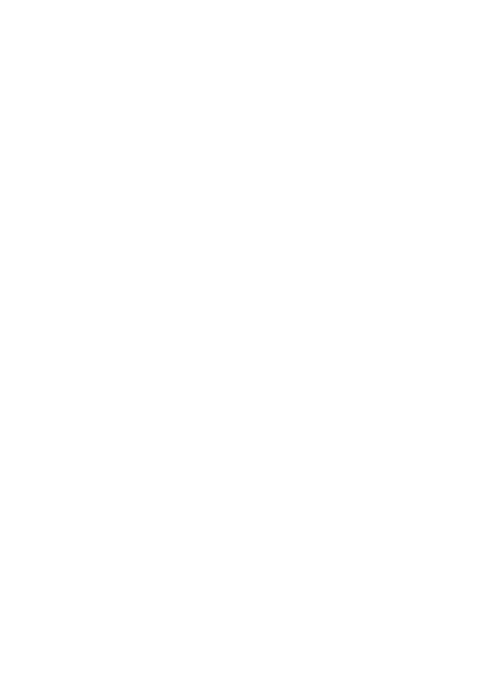This policy is an expansion of policy EC8, which states that the Council will support the expansion of activities catering for tourists and other visitors by:

o Identifying, consolidating and safeguarding attractions;

o Refusing proposals which would have an adverse impact on tourist attractions;

o Actively encouraging opportunities for new tourist initiatives, especially where they are near existing areas of visitor interest;

o Providing cycle and car parking for visitors and footpaths and interpretive facilities at tourist attractions;

o The environmental implications of any proposals will be taken into consideration.

Planning permission and listed building consent was recently given by the City Council for the refurbishment of the mill and this goes hand in hand with the current proposal to encourage its use as a heritage led learning centre. As the proposal would see the building brought back into use, it would enhance its status as a visitor attraction in accordance with the aims of policies EC8 and NA5.7. The external alterations to the building are considered to be relatively low key and are in keeping with the overall character and appearance of the visitor centre, which is a relatively modern development. For these reasons, the principle of the proposed change of use and enabling physical alterations to the building is considered to be acceptable with regard to relevant planning policy.

# **2) Amenity Issues**

Paragraph 17 of the NPPF sets out 12 core planning principles identified by the Government as being important. Within these principles, it is identified as being important that Local Planning Authorities should always seek to secure high quality design and a good standard of amenity for all existing and future occupants of land and buildings.

Policy B2 of the adopted UDP relates to new developments and extensions to existing buildings and states that their scale, massing, layout or setting should respect and enhance the best qualities of nearby properties and the locality and retain acceptable levels of privacy.

In respect of residential amenity, the closest dwellings to the site are those to the south side in Eston Grove, some 30 m away from the visitor centre. However, the car park that serves the centre has a common boundary with several of these properties. It is acknowledged that the visitor centre in conjunction with the tea room would generate more general activity (visitors, cars and buses, servicing, etc.) than the previous use of the building as a visitor centre with flat above. The potential increase in noise and disturbance, however, must be measured against the fact that the visitor centre has been in situ since C 2000 and, when operating, it would have generated some levels of activity that, at times, might be higher than would be expected in a residential environment. Further mitigation is provided in the fact that the overall floor area of the building are relatively small, which would restrict the number of visitors using the premises at any one time. The tea room facility also has a limited offer, there being no hot food facilities provided that requires an extraction system that could generate smells. This would further ensure that the proposed use does not cause undue detriment to the amenities of neighbouring occupiers to the south. Finally, whilst no details have been submitted with the application regarding hours of operation, it is recommended, should planning permission be forthcoming, that a condition be imposed to ensure that opening hours are controlled to ensure that the impact of the development on nearby residential occupiers is minimised.

In terms of visual amenity, the external works to the visitor centre would see its external appearance only slightly altered, with the introduction of several new openings, mainly on one side of the roof facing open space. As such they are not considered to impact detrimentally upon visual or residential amenity.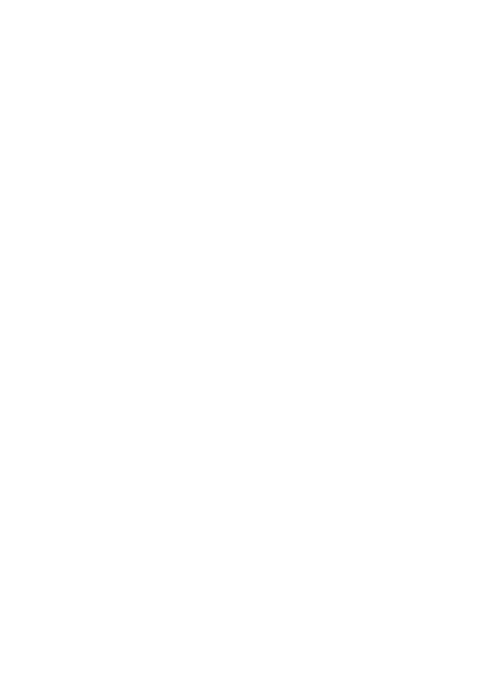In light of the above it is not considered that the proposal would impact detrimentally upon residential or visual amenity and accords with the aims of NPPF paragraph 17 and UDP policy B2.

# **3) Heritage Issues**

Paragraph 17 of the NPPF sets out 12 core planning principles identified by the Government as being important. Within these principles, it is identified as being important that Local Planning Authorities should always seek to secure high quality design.

As an expansion of this, paragraph 56 of the NPPF identifies that the Government attaches great importance to the design of the built environment. Good design is a key aspect of sustainable development is indivisible from good planning and should contribute positively to making places better for people. Furthermore, paragraph 64 states that permission should be refused for development of poor design that fails to take the opportunities available for improving the character and quality of an area and the way it functions.

Paragraph 131 of the NPPF relates to conserving the historic environment and states that in determining planning applications, local planning authorities should take account of:

- The desirability of sustaining and enhancing the significance of heritage assets and putting them to viable uses consistent with their conservation;
- The positive contribution that conservation of heritage assets can make to sustainable communities including their economic vitality and
- The desirability of new development making a positive contribution to local character and distinctiveness.

Paragraph 132 states that when considering the impact of a proposed development on the significance of a designated heritage asset, great weight should be given to the asset's conservation. Significance can be harmed or lost through alteration or destruction of the heritage asset or development within its setting. As heritage assets are irreplaceable, any harm or loss should require clear and convincing justification.

Paragraph 137 states that local planning authorities should look for opportunities for new development within Conservation Areas and within the setting of heritage assets to enhance or better reveal their significance. Proposals that preserve those elements of the setting that make a positive contribution to or better reveal the significance of the asset should be treated favourably.

The proposal re-opening of the visitor centre would allow the continued enjoyment of the listed Fulwell Windmill as an important heritage asset and the proposal therefore satisfies the requirements of NPPF paragraphs 131, 132 and, 137.

# **4) Highway Issues**

Paragraph 32 of the NPPF states that development should only be prevented or refused on transport grounds where the residual cumulative impacts of the development are severe

Policies T14 and T22 of the UDP stipulate that development should not cause traffic congestion or highways safety problems on existing roads whilst adequate provision shall be made for the parking of vehicles.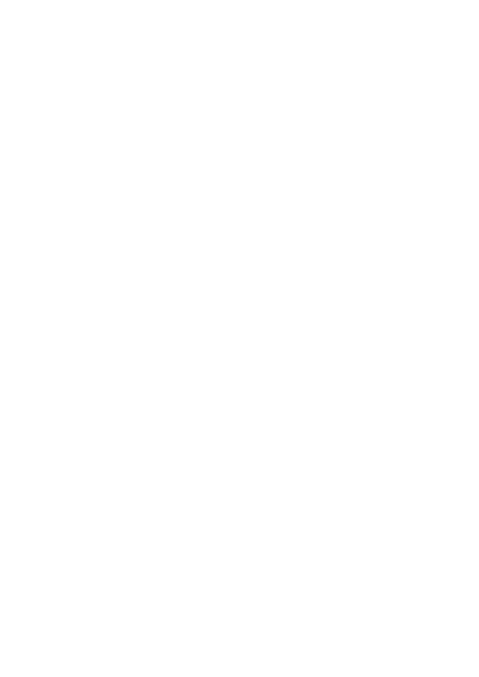As set out above, the Network Management Team has offered a number of observations and areas where clarification is required.

Having discussed the concerns raised with Network Management it has been agreed that the issues pertaining to school visits, servicing and delivery arrangements for events may be subject to conditions requiring appropriate details to be submitted to and approved in writing by the Local Planning Authority prior to the site being brought into use for the proposed purpose. If Members are minded to grant planning permission for the development, it is recommended that conditions in respect of events management should be imposed and subject to this, the proposal is considered to be acceptable with regard to NPPF paragraph 32 and UDP policies T14 and T22.

# **Conclusion**

In light of the above, the development is considered to be acceptable in terms of all relevant material planning considerations.

It is recommended that Members should be minded to grant consent subject to Regulation 4.

Recommendation: Grant Consent, in accordance with Regulation 4 of the Town and Country Planning General Regulations 1992

# **Equality Act 2010 - 149 Public Sector Equality Duty**

During the detailed consideration of this application/proposal an equality impact assessment has been undertaken which demonstrates that due regard has been given to the duties placed on the LPA's as required by the aforementioned Act.

As part of the assessment of the application/proposal due regard has been given to the following relevant protected characteristics:-

- o age;
- o disability;
- o gender reassignment;
- o pregnancy and maternity;
- o race;
- o religion or belief;
- o sex;
- o sexual orientation.

The LPA is committed to (a) eliminating discrimination, harassment, victimisation and any other conduct that is prohibited by or under the Equality Act 2010; (b) advance equality of opportunity between persons who share a relevant protected characteristic and persons who do not share it; (c) foster good relations between persons who share a relevant protected characteristic and persons who do not share it.

In addition, the LPA, in the assessment of this application/proposal has given due regard to the need to advance equality of opportunity between persons who share a relevant protected characteristic and persons who do not share it. This approach involves (a) removing or minimising disadvantages suffered by persons who share a relevant protected characteristic that are connected to that characteristic; (b) take steps to meet the needs of persons who share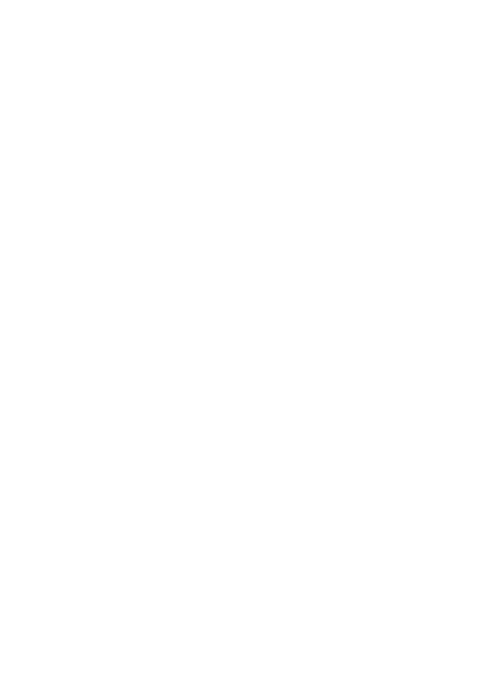a relevant protected characteristic that are different from the needs of persons who do not share it; (c) encourage persons who share a relevant protected characteristic to participate in public life or in any other activity in which participation by such persons is disproportionately low.

The LPA has taken reasonable and proportionate steps to meet the needs of disabled persons that are different from the needs of persons who are not disabled include, in particular, steps to take account of disabled persons' disabilities, as part of this planning application/proposal.

Due regard has been given to the need to foster good relations between persons who share a relevant protected characteristic and persons who do not share it involves. Particular consideration has been given to the need to-

(a)tackle prejudice, and

(b)promote understanding.

Finally, the LPA recognise that compliance with the duties in this section may involve treating some persons more favourably than others; but that is not to be taken as permitting conduct that would otherwise be prohibited by or under this Act.

**RECOMMENDATION:** Grant Consent in accordance with Regulation 4 of the Town and Country Planning General Regulations 1992

# **Conditions:**

- 1 The development to which this permission relates must be begun not later than three years beginning with the date on which permission is granted, as required by section 91 of the Town and Country Planning Act 1990 as amended by Section 51 of the Planning and Compulsory Purchase Act 2004 to ensure that the development is carried out within a reasonable period of time
- 2 Unless otherwise first agreed in writing with the Local Planning Authority, the development hereby granted permission shall be carried out in full accordance with the following approved plans:
	- Existing layout, drawing no. 1601 received 15 March 2016, Proposed layout drawing and location plan, drawing no. 1601 2 D received 10 May 2016.

In order to ensure that the completed development accords with the scheme approved and to comply with policy B2 of the adopted Unitary Development Plan.

3 The building shall not be brought into use for the purposes hereby approved until a detailed written management plan, in connection with the staging of large scale events has been submitted to and approved in writing by the Local Planning Authority. Thereafter, the premises shall not be operated other than in complete accordance with the approved management plan, unless the Local Planning Authority first agrees to any variation in writing, in the interests of highway safety and to accord with policy T14 of the Unitary Development Plan.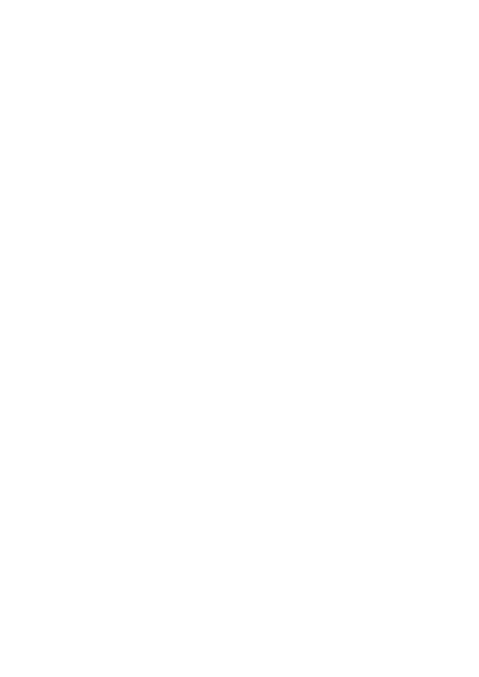- 4 Notwithstanding any indication of materials which may have been given in the application; the external materials to be used, including walls, roofs, doors and windows shall be of the same colour, type and texture as those used in the existing building, unless the Local Planning Authority first agrees any variation in writing; in the interests of visual amenity and to comply with policy B2 of the Unitary Development Plan.
- 5 The premises shall be used for a visitors centre, special events and educational visits on the first floor and as a tea room (Class A3) on the ground floor and for no other purpose as defined by the Schedule to the Town and Country Planning (Use Classes) Order 1987, or in any provision equivalent to that Class in any statutory instrument revoking and re-enacting that Order), in order to achieve a satisfactory form of development and to accord with policy B2 of the UDP.
- 6 Prior to the commencement of the use hereby permitted full details of the opening hours for the premises shall be submitted to and approved by the Local Planning Authority. The approved details shall be implemented as approved at all times unless a variation shall have been agreed in writing by the Local Planning Authority. In order to protect the amenities of the area in accordance with policy B2 of the UDP.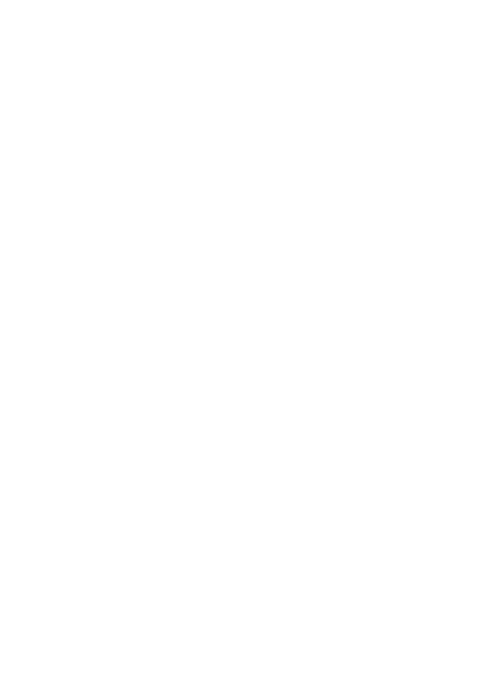| 4.                                                                                                                 | <b>North</b><br>Sunderland                                                                     |  |
|--------------------------------------------------------------------------------------------------------------------|------------------------------------------------------------------------------------------------|--|
| <b>Reference No.:</b>                                                                                              | 16/00567/LP3 Local Authority (Reg 3)                                                           |  |
| Change of use from public highway to facilitate erection of<br>Proposal:<br>new entrance structure to pier tunnel. |                                                                                                |  |
| Location:                                                                                                          | Land Adjacent To Roker Pier Marine Walk Sunderland                                             |  |
| Ward:<br><b>Applicant:</b><br>Date Valid:<br><b>Target Date:</b>                                                   | <b>St Peters</b><br><b>Commercial Development Directorate</b><br>28 April 2016<br>23 June 2016 |  |

# **PROPOSAL:**

The proposal relates to the change of use from public highway to facilitate the erection of a new entrance structure to the pier tunnel on land adjacent to Roker Pier, Marine Walk, Sunderland.

The application represents the final phase of the pier and lighthouses restoration, with the vast majority of the works already completed following the approval of application ref. 15/00559/LAL at North Sunderland Sub-Committee dated 28.04.2015.

#### Site Description

Roker Pier is situated at the southern end of Roker beach lying approximately 05.km north of Sunderland Harbour. Together with the new South Pier, it forms the outer sea defences of the docks and river mouth. The curved pier is 609.6 metres long, 10.4 metres wide at the shore side, increasing to 12.10 metres in width at the seaward end, and terminating in a roundhead measuring 20.10 metres across.

Roker Pier is a Grade II listed structure and lies within the Roker Park Conservation Area. The pier is constructed of red Aberdeen granite, accommodating an integral tunnel along its full length, originally provided to allow the lighthouse keeper access during adverse weather.

# **Proposal**

The current phase of works involves restorative works to the tunnel steps and the construction of a new entrance structure that seeks to improve access and allow the operation of tours by a volunteer group. Covering a floor area that measures approximately 7.0 metres in length and 3.5 metres in width, the four sided structure measures 2.850 metres in height. Access to the structure is provided via an entrance door sited within the west facing elevation.

It is proposed to construct the entrance building with a mix of flamed grey granite and grey tinted glass.

The proposal has also been supported by an accompanying application for listed building consent (ref : 16/00568/LB3) and the following documents: Design, Access and Heritage Statement Habitats Regulation Assessment.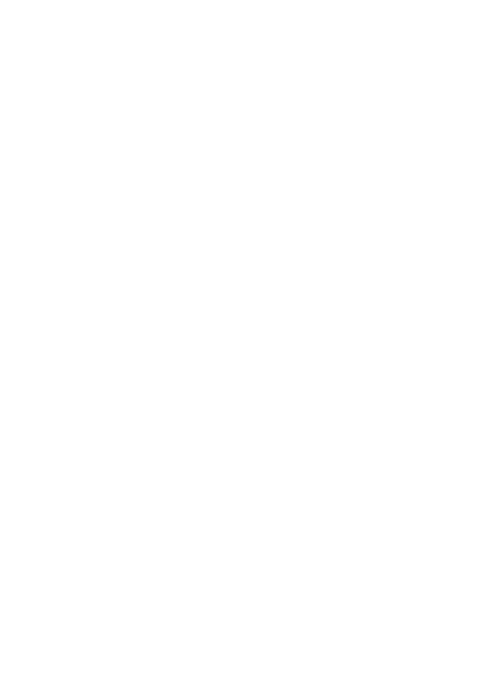# **TYPE OF PUBLICITY:**

Press Notice Advertised Site Notice Posted Neighbour Notifications

# **CONSULTEES:**

Network Management St Peters - Ward Councillors Consultation Tyne And Wear Archaeology Officer Natural England

Final Date for Receipt of Representations: **24.05.2016**

# **REPRESENTATIONS:**

Natural England.

Internationally Designated Sites - No objection : Natural England notes that Sunderland City Council as the competent authority under the provisions of the Habitats Regulations, has screened the proposal to check for the likelihood of significant effects and concluded that the proposal can be screened out from further stages of assessment because significant effects are unlikely to occur, either alone or in combination.

Nationally Designated Sites - No objection : The application is in close proximity to the Durham Coast SSSI. Natural England is satisfied that the proposed development being carried out in strict accordance in strict accordance with the details of the application, as submitted, will not damage or destroy the interest features for which the site has been notified. We therefore advise that this SSSI does not represent a constraint in determining this application.

Third Party Representations. No representations were received.

# **POLICIES:**

In the Unitary Development Plan the site is subject to the following policies;

B 2 Scale, massing layout and setting of new developments

B 4 Development within conservation areas

B\_6\_Measures to preserve and enhance conservation areas

B 10 Development affecting the setting of listed buildings

T\_14\_Accessibility of new developments, need to avoid congestion and safety problems arising

CN\_19\_Development affecting designated / proposed SAC's, SPAs and RAMSAR Sites

# **COMMENTS:**

In determining the application the main issues to consider are:

1. The principle of the use.

2. The visual impact of the alterations upon the setting of the listed pier and lighthouse and the character of the conservation area.

3. The impact of the proposal upon highway safety.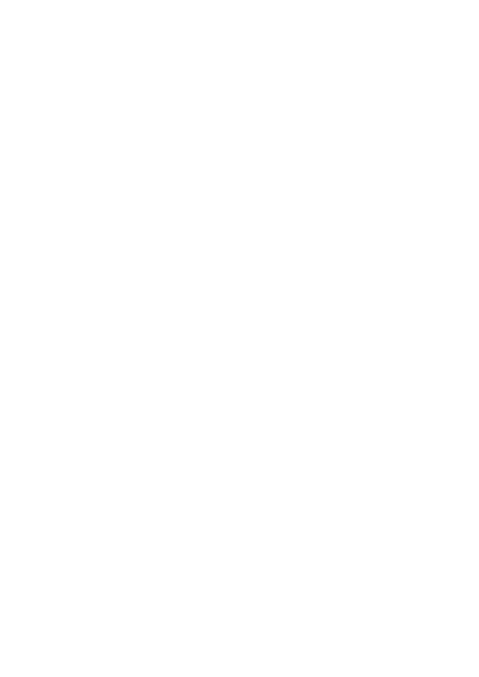- 4. The impact upon residential amenity.
- 5. The impact upon protected species.

# **1 Principle of Use**

By virtue of section 38(6) of the Planning and Compulsory Purchase Act, 2004, the starting point for consideration of any planning application is the saved policies of the development plan. A planning application must be determined in accordance with the development plan unless material considerations indicate otherwise.

However, since the publication of the National Planning Policy Framework (NPPF) in March 2012 (which is a material consideration for the purpose of Section 38(6)), the weight that can be given to the development plan depends upon the extent to which the relevant policies in the plan are consistent with the more up to date policies set out in the NPPF. The closer the relevant policies in the NPPF, the greater the weight can be given to the development plan.

In assessing the principle of the use, the proposal has been considered against the relevant policies of the saved adopted Unitary Development Plan (UDP), B2, B4, B6, B10, B13 and EN10 to which the proposal is in accordance. In addition to the UDP policies, the City Council has produced The Seafront Regeneration Strategy which provides a strategic platform to guide the regeneration of Roker and Seaburn seafront and to act as a tool to deliver the objectives set out in the Sunderland Strategy (2008-2025) the overarching strategy for the city which states that "by 2025 Roker and Seaburn will have a key role in providing cultural tourism attractions."

The Marine Walk Masterplan is a Supplementary Planning Document (SPD) forming part of Sunderland City Council's Local Development Framework. As such the document has been taken forward through the statutory planning process in accordance with the Town and Country Planning (Local Development) (England) Regulations 2004 (as amended).

The proposed usage is considered to support the aims and objectives of the aforementioned documents , by opening up the tunnel as a tourist attraction and as such the principle of the development is considered to be acceptable.

#### **2. Visual Impact upon the setting of the Listed pier and lighthouse and the character of the conservation area.**

In assessing the visual impact of the proposed alterations the proposal has been considered against Section 12 : Conserving and enhancing the historic environment of the National Planning Policy Framework (NPPF) relevant policies of the UDP B2, B4, B6 and B10 of the UDP and Management Objective 6 and Proposal 6a of the Roker Park Conservation Area Management Strategy.

Further to consultations with the City Council's Heritage Protection Team, it is noted that the restoration of the pier, lighthouse and tunnel has been subject to detailed discussions and monitoring with the Heritage Protection Team and Historic England (HE) for some time, with this application representing the final stage in the structures restoration.

The tunnel entrance was subject to a design competition, with the deciding panel comprising HE Officers, SCC Officers, Members, businesses, HLF Officers and local community. The brief for the entrance structure focused on delivering a piece of architecture that befitted the quality of the Roker Park Conservation Area and the Grade II listed pier and lighthouse complex.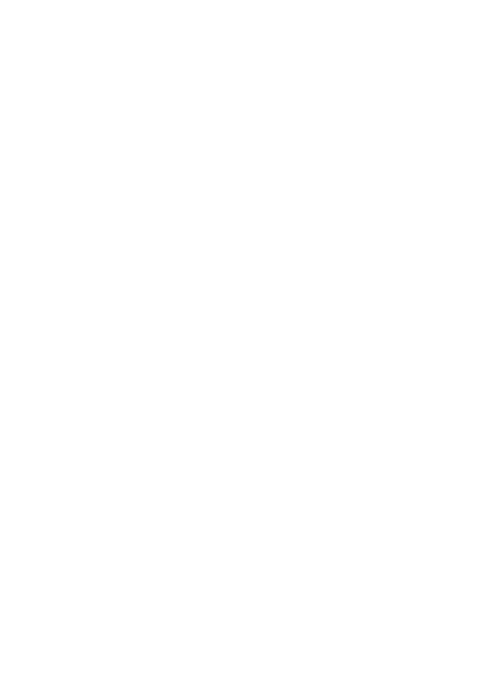It is considered that the applicant has satisfied the requirements of the NPPF in identifying the relevant heritage assets and assessing the impact of the proposal on them. The Design and Access Statement and Heritage Statement gives a brief history of the pier complex, identifies relevant policies and justifies the proposal.

The proposed scheme offers a modern solution to the access issues of the tunnel, with clean lines, large amounts of glass and matching grey granite ensuring the building settles into its surroundings. Focusing on maintaining panoramic views, glazing has been used on all elevations, ensuring the lighthouse and the two beaches that bound the pier to the north and south are nearly always visible from both inside and outside the structure.

It is considered that the use of the matching materials will result in a building which is robust, functional and yet subtle. Improving the stairs in the tunnel will allow greater access for the public and by removing the hatch will allow others who cannot or do not wish to go through the tunnel a glimpse of what lies beneath.

The Heritage Protection Team is satisfied that the proposal represents a sympathetic addition to the pier, a high quality addition to the conservation area and will improve access to one of the city's most recognisable structures. The proposal accords with the NPPF, UDP and CAMS policies and will help secure the long term future of the complex.

# **3 The impact upon highway safety.**

Policy T14 of the UDP requires in part that proposals for new development should be readily accessible by pedestrians and cyclists and not cause traffic congestion or highway safety problems.

The proposal does involve the enclosure of an area of public highway in order to open up the steps to the tunnel and as such the development will require a stopping up under Section 247 of the Town and Country Planning Act 1990.

Further to consultation with the Network Management Section no onjections to the proposal have been received.

# **4 Impact upon residential amenity.**

Paragraph 17 Core Planning principles states in part that a set of core land-use planning principles should underpin both plan making and decision-taking and highlights 12 key points. One of these points states that planning should:

"always seek to secure a high quality design and good standard of amenity for all existing and future occupants of land and buildings."

Policy B2 of the UDP reaffirms this position in seeking to ensure levels of privacy are maintained and developments are respectful and enhance the best qualities of nearby properties.

In assessing the impact of the proposed development upon levels of residential amenity, it is worthy of note that Marine Walk currently provides 5 No. residential units at first floor level above the operational commercial units, with an added residential property at No.2 Roker Pier Cottage.

The current proposal is only to operate on a voluntary basis and the building itself is not to be illuminated either inside or out. With these factors in mind it is not considered that the proposed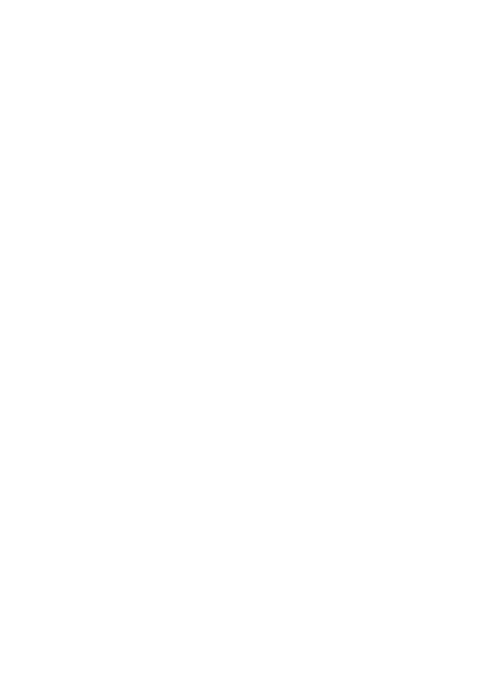development will have a significant impact upon existing levels of residential amenity and is in accordance with both local and national policies.

# **5 The impact upon protected species.**

Under Section 40(1) of the Natural Environment and Rural Communities Act 2006, every public authority must, in exercising its functions, have regard, so far as is consistent with the proper exercise of those functions, to the purpose of conserving biodiversity. This duty covers the protection, enhancement and restoration of habitats and species. In addition to the above The Conservation of Habitats and Species Regulations 2010 (as amended) is also of particular relevance in the assessment of this proposal.

The NPPF provides that Local Planning Authorities should aim to conserve and enhance biodiversity. Paragraph 118 of the NPPF provides as follows:-

- If significant harm resulting from a development cannot be avoided, adequately mitigated, or as a last resort, compensated for, then planning permission should be refused;
- Proposed development on land within or outside a SSSI which is likely to have an adverse effect on a SSSI should not normally be permitted. Where an adverse effect is likely, an exception should only be made where the benefits of the development clearly outweigh the impacts on the features of the SSSI;
- Opportunities to incorporate biodiversity in and around development should be encouraged;
- The following wildlife sites should be given the same protection as European Sites:
- potential Special Protection Areas and possible Special Areas of Conservation;
- listed or proposed Ramsar sites and
- sites identified, or required, as compensatory measures for adverse effects on European sites, potential Special Protection Areas, possible Special Areas of Conservation, and listed or proposed Ramsar sites.

As a member of the European Union (EU), the United Kingdom (UK) is bound by the terms of the Council Directive 79/409/EEC on the Conservation of Wild Birds (the Birds Directive) and the Council Directive 92/42/EEC on the conservation of natural habitats and wild flora and fauna (the Habitats Directive). These are implemented in the UK through the Conservation regulations which provide for the protection of areas of European importance for wildlife, in the form of Special Areas of Conservation (SAC's) designated under the Habitats Directive, and Special Protection Areas (SPA's) designated under the Birds Directive. Collectively, these are termed European sites, and overall network of European sites is termed Natura 2000. It is an offence under the legislation and regulations to carry out an act which may damage a qualifying species or habitat for which the site is designated.

A Habitat Regulation Assessment (HRA) is the mechanism to be implemented to ensure the above legislation is complied with and determines whether a plan or project would adversely affect the integrity of any European site in terms of its conservation objectives.

Where adverse effects are identified alternative solutions should be identified and the plan or project modified to avoid any adverse effects. The LPA, as the Competent Authority , can adopt the plan or approve the project only after having ascertained that it will not adversely affect the integrity of a European Site.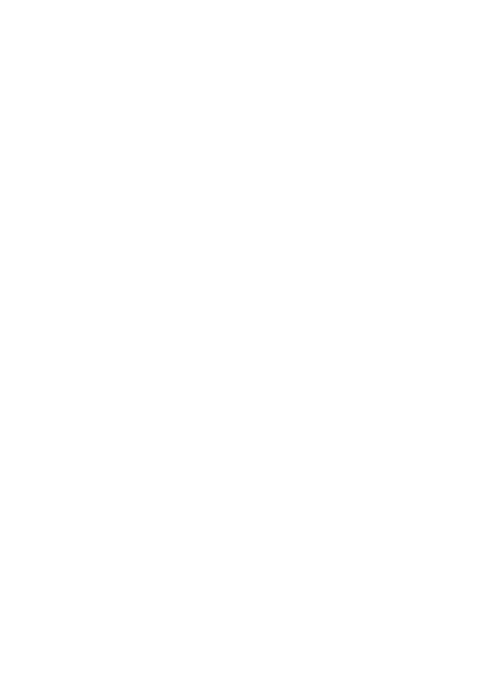Regulations require that HRA's must consider in-combination effects cumulatively, with all relevant plans and projects. If it can be concluded that no likely significant effects will arise from the plan or project, including in combination then no further stages of the HRA are required (on the basis that the proposal is screened out and appropriate mitigation if required is provided).

There are two designated statutory sites within the vicinity of the proposal, these being the Northumbria Coast Special Protection Area which is located approximately 0.75 km to the north of the development site and the Durham Coast Special Area of Conservation located to the south.

Policy CN19 of the UDP is of particular relevance and states that :

"Special Areas of Conservation, Special Protection Areas and Ramsar sites, either designated or proposed for designation, will be conserved. Development will not be permitted unless;

(i) it is directly connected with or necessary to the management of the nature conservation interest of the site;

(ii) it would not adversely affect the nature conservation interest of the site either directly or indirectly; or

(iii) the developer can demonstrate that there are imperative reasons of overriding public interest for the development and no alternative site is available.

Where such development does proceed, it may be subject to planning conditions and obligations to secure mitigation or compensatory measures, including those necessary to ensure that the overall coherence of Natura 2000 is protected."

The above policy is fully compliant with the NPPF.

In light of the above policies, the development proposals proximity to the Natura 2000 sites at the coast, the application has been supported by a Habitats Regulations Assessment - Commercial and Residential Development at Marine Walk, Roker, Sunderland.

Following consultations with City Council's Heritage Protection Team it is considered that the development proposal alone and in combination is unlikely to have a significant effect on the interest features of the coastal European Sites, nor incidentally the Durham Coast Site of Special Scientific Interest, and as such the proposal can proceed as described without the need for an Appropriate Assessment through the Habitats Regulations Assessment process.

The proposal is considered to comply with relevant international, national and local policies and is considered to be acceptable.

# **Conclusion.**

It is considered that the proposed development will contribute to the achievement of sustainable development from an economic, social and environmental perspective as identified within the key themes of the NPPF, via the introduction of an entrance structure necessary to facilitate the opening up to the public of the pier tunnel. Whilst it is recognised that the development will impinge upon the public highway, the footprint of the proposed building is such that access along the pier is not inhibited. Furthermore as a result of a design competition with architectural practices the submitted proposal is considered to provide a contemporary form of development that reflects the design qualities of the pier, whilst maintaining important views of the coastline and lighthouse.

The proposal is considered to comply with relevant NPPF and UDP policies and is in accordance with the Marine Walk Masterplan.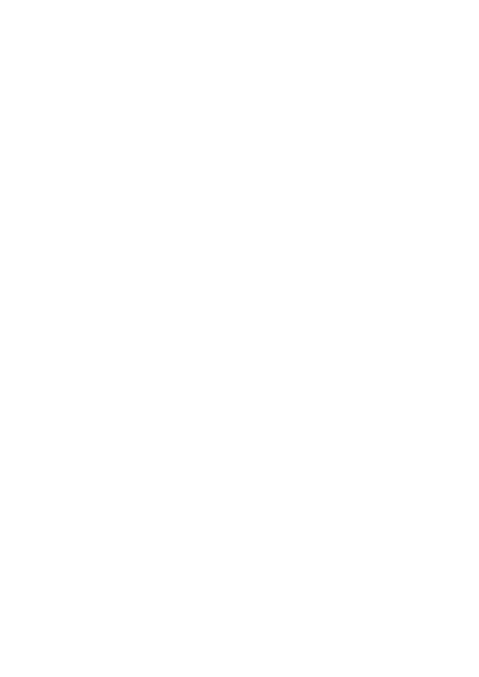In light of the continued regeneration of the Marine Walk promenade area, it is recommended that Members be minded to Grant Consent Under Regulation 3, of the General Regulations Order 1992, due to the period for consultation not expiring till 24<sup>th</sup> May 2016 and subject to the conditions listed.

# **Equality Act 2010 - 149 Public Sector Equality Duty**

During the detailed consideration of this application/proposal an equality impact assessment has been undertaken which demonstrates that due regard has been given to the duties placed on the LPA's as required by the aforementioned Act.

As part of the assessment of the application/proposal due regard has been given to the following relevant protected characteristics:

- age;
- disability;
- gender reassignment;
- pregnancy and maternity;
- race:
- religion or belief;
- sex;
- sexual orientation.

The LPA is committed to (a) eliminating discrimination, harassment, victimisation and any other conduct that is prohibited by or under the Equality Act 2010; (b) advance equality of opportunity between persons who share a relevant protected characteristic and persons who do not share it; (c) foster good relations between persons who share a relevant protected characteristic and persons who do not share it.

In addition, the LPA, in the assessment of this application/proposal has given due regard to the need to advance equality of opportunity between persons who share a relevant protected characteristic and persons who do not share it. This approach involves (a) removing or minimising disadvantages suffered by persons who share a relevant protected characteristic that are connected to that characteristic; (b) take steps to meet the needs of persons who share a relevant protected characteristic that are different from the needs of persons who do not share it; (c) encourage persons who share a relevant protected characteristic to participate in public life or in any other activity in which participation by such persons is disproportionately low.

The LPA has taken reasonable and proportionate steps to meet the needs of disabled persons that are different from the needs of persons who are not disabled include, in particular, steps to take account of disabled persons' disabilities, as part of this planning application/proposal.

Due regard has been given to the need to foster good relations between persons who share a relevant protected characteristic and persons who do not share it involves. Particular consideration has been given to the need to:

(a)tackle prejudice, and

(b)promote understanding.

Finally, the LPA recognise that compliance with the duties in this section may involve treating some persons more favourably than others; but that is not to be taken as permitting conduct that would otherwise be prohibited by or under this Act.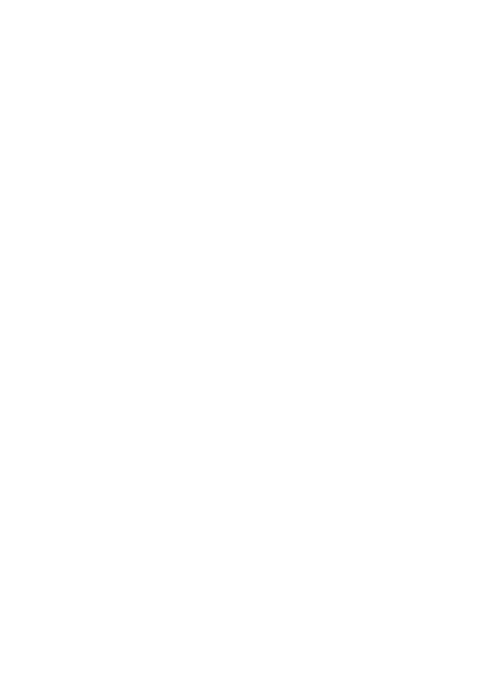**RECOMMENDATION:** Members be minded to Grant Consent Under Regulation 3, of the General Regulations Order 1992, due to the period for consultation not expiring till  $24<sup>th</sup>$  May 2016 and subject to the conditions listed.

# **Conditions:**

- 1 The development to which this permission relates must be begun not later than three years beginning with the date on which permission is granted, as required by section 91 of the Town and Country Planning Act 1990 as amended by Section 51 of the Planning and Compulsory Purchase Act 2004 to ensure that the development is carried out within a reasonable period of time
- 2 Unless otherwise first agreed in writing with the Local Planning Authority, the development hereby granted permission shall be carried out in full accordance with the following approved plans:
	- Drawing No. T1 General Arrangement received 05.04.2016.

In order to ensure that the completed development accords with the scheme approved and to comply with policy B2 of the adopted Unitary Development Plan.

3 The external materials to be used, including walls, roofs, doors and windows shall be as indicated within Section 14 : Materials of the application form submitted 05.04.2016, unless the Local Planning Authority first agrees any variation in writing; in the interests of visual amenity and to comply with policy B2 of the Unitary Development Plan.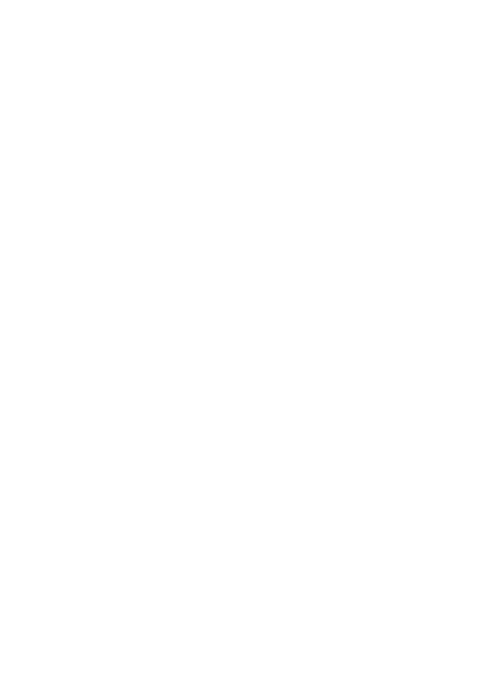| 5.                                                               | <b>North</b><br>Sunderland                                                                            |  |
|------------------------------------------------------------------|-------------------------------------------------------------------------------------------------------|--|
| <b>Reference No.:</b>                                            | 16/00568/LB3 Listed Building Consent (Reg3)                                                           |  |
| Proposal:                                                        | Change of use from public highway to facilitate erection of<br>new entrance structure to pier tunnel. |  |
| Location:                                                        | Land Adjacent To Roker Pier Marine Walk Sunderland                                                    |  |
| Ward:<br><b>Applicant:</b><br>Date Valid:<br><b>Target Date:</b> | <b>St Peters</b><br><b>Commercial Development Directorate</b><br>19 April 2016<br>14 June 2016        |  |

# **PROPOSAL:**

Listed building consent is sought for modifications to the pier tunnel entrance to facilitate the erection of a new entrance structure on land adjacent to Roker Pier, Marine Walk, Sunderland.

The application represents the final phase of the pier and lighthouse restoration with the vast majority of the works already completed following the approval of application ref. 15/00559/LAL at North Sunderland Sub-Committee dated 28.04.2015.

# Site Description

Roker Pier is situated at the southern end of Roker beach lying approximately 05.km north of Sunderland Harbour. Together with the new South Pier, it forms the outer sea defences of the docks and river mouth. The curved pier is 609.6 metres long, 10.4 metres wide at the shore side, increasing to 12.10 metres in width at the seaward end, and terminating in a roundhead measuring 20.10 metres across.

Roker Pier is a Grade II listed structure and lies within the Roker Park Conservation Area. The pier is constructed of red Aberdeen granite, accommodating an integral tunnel along its full length, originally provided to allow the lighthouse keeper access during adverse weather.

One of the hidden treasures of the pier complex is the tunnel that runs from the promenade to the basement of the lighthouse. It measures approximately 1.40 metres across and stands 1.8 metres high and runs the entire length of the pier. Currently accessed via a hatch at the shore end - located just to the west of the Roker gates, the hatch was formerly protected by a hut.

# Proposal

The current phase of works involves restorative works to the tunnel steps and the construction of a new entrance structure that seeks to improve access and allow the operation of tours by volunteer group. Covering a floor area that measures approximately 7.0 metres in length and 3.5 metres in width, the four sided structure measures 2.850 metres in height. Access to the structure is provided via an entrance door sited within the west facing elevation.

It is proposed to construct the entrance building with a mix of flamed grey granite and grey tinted glass.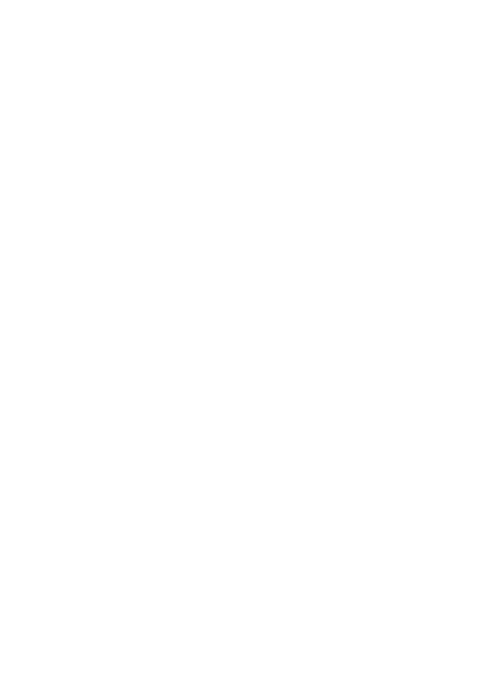The proposal has also been supported by an accompanying application for planning permission (ref : 16/00567/LP3) and the following documents: Roker Lighthouse and Pier Tunnel Repair and Refurbishment - Outline Schedule of Work. Design and Access and Heritage Statement.

# **TYPE OF PUBLICITY:**

Press Notice Advertised Site Notice Posted Neighbour Notifications

# **CONSULTEES:**

Network Management St Peters - Ward Councillors Consultation Tyne And Wear Archaeology Officer Natural England

Final Date for Receipt of Representations: **24.05.2016**

# **REPRESENTATIONS:**

No representations have been received.

# **POLICIES:**

In the Unitary Development Plan the site is subject to the following policies;

B 10 Development affecting the setting of listed buildings

# **COMMENTS:**

The main issues to consider in the determination of the proposal are the impact of the development upon the integrity and appearance of the listed pier.

At the heart of the National Planning Policy Framework (NPPF) is the presumption in favour of sustainable development. Protecting and enhancing the historic environment is an important component of the NPPF's drive to achieve sustainable development. The appropriate conservation of heritage assets forms one of the 'core planning principles' that underpin the planning system. Section 12 of the NPPF, incorporating paragraphs 126-141, principally expands upon this and seeks to conserve and enhance the historic environment. The paragraphs from section 12 relevant to this application are as follows:-

Paragraph 128: In determining applications, local planning authorities should require an applicant to describe the significance of any heritage assets affected, including any contribution made by their setting. The level of detail should be proportionate to the assets' importance and no more than is sufficient to understand the potential impact of the proposal on their significance. Where a site on which development is proposed includes or has the potential to include heritage assets with archaeological interest, local planning authorities should require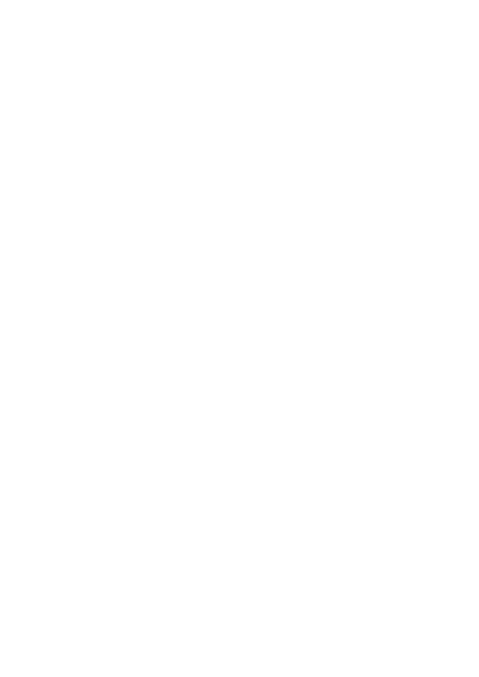developers to submit an appropriate desk-based assessment and, where necessary, a field evaluation.

Paragraph 129: Local planning authorities should identify and assess the particular significance of any heritage asset that may be affected by a proposal (including development affecting the setting of a heritage asset) taking account of the available evidence and any necessary expertise.

Paragraph 131: In determining planning applications, local planning authorities should take account of:

- o The desirability of sustaining and enhancing the significance of heritage assets and putting them into viable uses consistent with their conservation;
- o The positive contribution that conservation of heritage assets can make to sustainable communities including their economic vitality; and
- o The desirability of new development making a positive contribution to local character and distinctiveness.

Paragraph 134: Where a development proposal will lead to less than substantial harm to the significance of a designated heritage asset, this harm should be weighed against the public benefits of the proposal, including securing its optimum viable use.

Paragraph 137: Local planning authorities should look for opportunities for new development within Conservation Areas and within the setting of heritage assets to enhance or better reveal their significance. Proposals that preserve those elements of the setting that make a positive contribution to or better reveal the significance of the asset should be treated favourably.

Paragraph 141: Local planning authorities should make information about the significance of the historic environment gathered as part of ¿development management publicly accessible. They should also require developers to record and advance understanding of the significance of any heritage assets to be lost in a manner proportionate to their importance and the impact, and to make this evidence (and any archive generated) publicly accessible.

In addition to the above Local adopted planning policy and guidance

The council's saved Unitary Development Plan (UDP) adopted in 1998 is the statutory development plan for Sunderland. Highlighted below are the relevant planning policies for this application.

# B10: Development and listed buildings

The city council will seek to ensure that development proposals in the vicinity of listed buildings do not adversely affect their character or setting.

Further to consultations with the City Council's Heritage Protection Team, it is noted that the restoration of the pier, lighthouse and tunnel has been subject to detailed discussions and monitoring with the Heritage Protection Team and Historic England (HE) for some time, with this application representing the final stage in the structures restoration.

The tunnel entrance was subject to a design competition, with the deciding panel comprising HE Officers, SCC Officers, Members, businesses, HLF Officers and local community. The brief for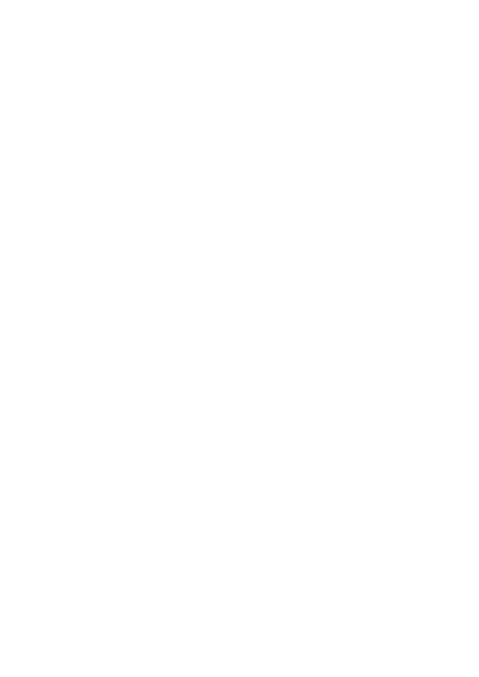the entrance structure focused on delivering a piece of architecture that befitted the quality of the Roker Park Conservation Area and the Grade II listed pier and lighthouse complex.

It is considered that the applicant has satisfied the requirements of the NPPF in identifying the relevant heritage assets and assessing the impact of the proposal on them. The Design and Access Statement and Heritage Statement gives a brief history of the pier complex, identifies relevant policies and justifies the proposal.

The proposed scheme offers a modern solution to the access issues of the tunnel, with clean lines, large amounts of glass and matching grey granite ensuring the building settles into its surroundings. Focusing on maintaining panoramic views, glazing has been used on all elevations, ensuring the lighthouse and the two beaches that bound the pier to the north and south are nearly always visible from both inside and outside the structure.

It is considered that the use of the matching materials will result in a building which is robust, functional and yet subtle. Improving the stairs in the tunnel will allow greater access for the public and by removing the hatch will allow others who cannot or do not wish to go through the tunnel a glimpse of what lies beneath.

The Heritage Protection Team is satisfied that the proposal represents a sympathetic addition to the pier, a high quality addition to the conservation area and will improve access to one of the city's most recognisable structures. The proposal accords with the NPPF, UDP and CAMS policies and will help secure the long term future of the complex.

In light of the continued regeneration of the Marine Walk promenade area, it is recommended that Members be minded to Grant Consent Under Regulation 3, of the General Regulations Order 1992, due to the period for consultation not expiring till  $24<sup>th</sup>$  May 2016 and subject to the conditions listed.

# **Equality Act 2010 - 149 Public Sector Equality Duty**

During the detailed consideration of this application/proposal an equality impact assessment has been undertaken which demonstrates that due regard has been given to the duties placed on the LPA's as required by the aforementioned Act.

As part of the assessment of the application/proposal due regard has been given to the following relevant protected characteristics:

- age;
- disability;
- gender reassignment;
- pregnancy and maternity;
- race;
- religion or belief;
- sex:
- sexual orientation.

The LPA is committed to (a) eliminating discrimination, harassment, victimisation and any other conduct that is prohibited by or under the Equality Act 2010; (b) advance equality of opportunity between persons who share a relevant protected characteristic and persons who do not share it; (c) foster good relations between persons who share a relevant protected characteristic and persons who do not share it.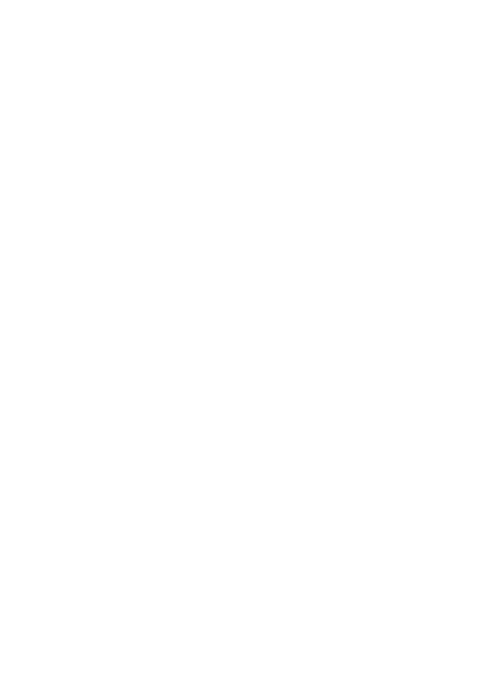In addition, the LPA, in the assessment of this application/proposal has given due regard to the need to advance equality of opportunity between persons who share a relevant protected characteristic and persons who do not share it. This approach involves (a) removing or minimising disadvantages suffered by persons who share a relevant protected characteristic that are connected to that characteristic; (b) take steps to meet the needs of persons who share a relevant protected characteristic that are different from the needs of persons who do not share it; (c) encourage persons who share a relevant protected characteristic to participate in public life or in any other activity in which participation by such persons is disproportionately low.

The LPA has taken reasonable and proportionate steps to meet the needs of disabled persons that are different from the needs of persons who are not disabled include, in particular, steps to take account of disabled persons' disabilities, as part of this planning application/proposal.

Due regard has been given to the need to foster good relations between persons who share a relevant protected characteristic and persons who do not share it involves. Particular consideration has been given to the need to: (a)tackle prejudice, and

(b)promote understanding.

Finally, the LPA recognise that compliance with the duties in this section may involve treating some persons more favourably than others; but that is not to be taken as permitting conduct that would otherwise be prohibited by or under this Act.

**RECOMMENDATION:** Members be minded to Grant Consent Under Regulation 3, of the General Regulations Order 1992, due to the period for consultation not expiring till  $24<sup>th</sup>$  May 2016 and subject to the conditions listed.

# **Conditions:**

- 1 The development to which this permission relates must be begun not later than three years beginning with the date on which permission is granted, as required by section 18 of the Planning (Listed Buildings and Conservation Areas) Act 1990 as amended by Section 51 of the Planning and Compulsory Purchase Act 2004 to ensure that the development is carried out within a reasonable period of time.
- 2 Unless otherwise first agreed in writing with the Local Planning Authority, the development hereby granted permission shall be carried out in full accordance with the following approved plans:
	- Drawing No. T1 General Arrangement received 05.04.2016.

In order to ensure that the completed development accords with the scheme approved and to comply with policy B2 of the adopted Unitary Development Plan.

3 The development hereby approved shall be carried out in complete accordance with the Roker Lighthouse and Pier Tunnel Repairs and Refurbishment Schedule of Works dated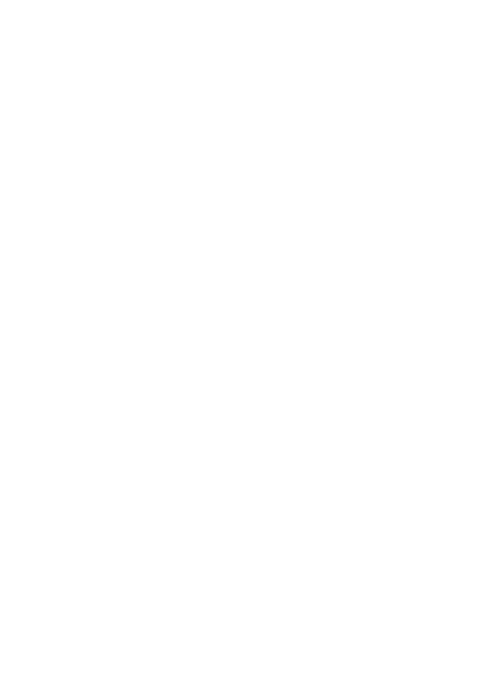24.11.2014 unless agreed otherwise in writing by the Local Planning Authority, in the interest of visual amenity and to protect the integrity of the listed building in accordance with policies B8 and B10 of the UDP and Section 12 of the National Planning Policy Framework.

4 Notwithstanding the details provided within the submitted Design, Access and Heritage Statement dated March 2016, a comprehensive photographic record of the work shall be undertaken and all materials recorded shall be deposited with the Tyne and Wear Historic Environment Record. The site is located within an area identified the Unitary Development Plan as being of potential archaeological interest and the publication of the results will enhance understanding of and will allow public access to the work undertaken in accordance with paragraph 141 of the National Planning Policy Framework.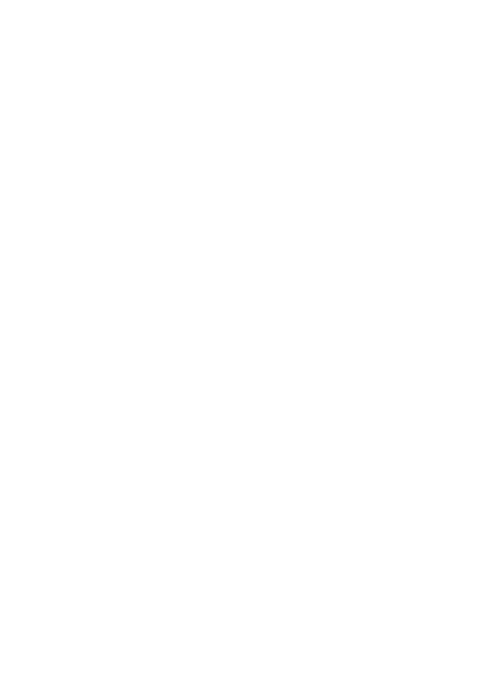| 6.                    | <b>North</b>                                                                                                                                                       |  |  |
|-----------------------|--------------------------------------------------------------------------------------------------------------------------------------------------------------------|--|--|
|                       | Sunderland                                                                                                                                                         |  |  |
| <b>Reference No.:</b> | 16/00626/LAP Development by City (Regulation 3)                                                                                                                    |  |  |
| Proposal:             | Installation of 1.4m high double steel gates to create new<br>temporary events access within the boundary fence on<br><b>Sidecliff Road. (amended description)</b> |  |  |
| Location:             | Roker Park Entrance Sidecliff Road Sunderland SR6 9NE                                                                                                              |  |  |
| Ward:                 | <b>St Peters</b>                                                                                                                                                   |  |  |
| <b>Applicant:</b>     | <b>Commercial Development Directorate</b>                                                                                                                          |  |  |
| <b>Date Valid:</b>    | 11 April 2016                                                                                                                                                      |  |  |
| <b>Target Date:</b>   | 6 June 2016                                                                                                                                                        |  |  |

# **Location Plan**



'This map is based upon the Ordnance Survey material with the permission of the Ordnance Survey on behalf of the Controller of Her Majesty's Stationery Office © Crown copyright. Unauthorised reproduction infringes Crown copyright and may lead to prosecution or civil proceedings. Licence No. 100018385. Date 2016.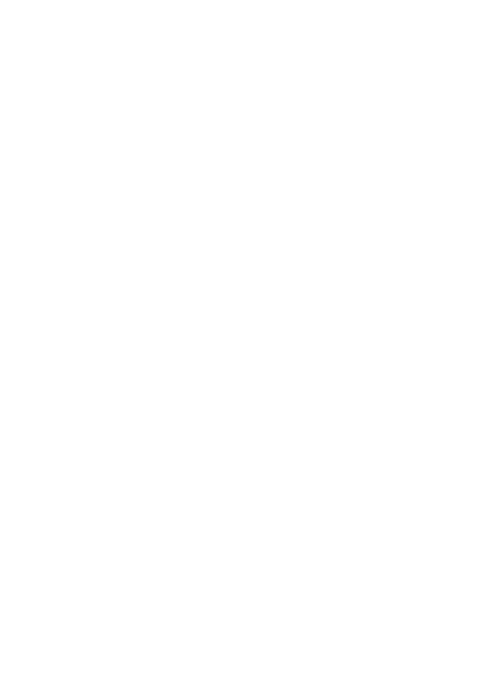# **PROPOSAL:**

The application relates to the installation of 1.4m high double steel gates to create new temporary events access within the boundary fence on Sidecliff Road at Roker Park, Sunderland, SR6 9NE.

Roker Park is a registered Historic Park and Garden and is located towards the centre of the Conservation Area bound to the north, south and west by residential properties whilst to the east is Roker Terrace.

The proposal comprises the modification of a section of the northern boundary opposite the dwellings located on David Gardens. The modification involves the installation of 1.4 metre high double steel vertical bar gates which provide a combined opening of 2.9 metres. The gates are to be powder coated black and designed to match the existing fence line.

The submitted Design and Access Statement confirms that the gates are to be installed and utilised during periods of heavy pedestrian traffic, namely the Sunderland Air Show and Illuminations whilst locked at all other times.

# **TYPE OF PUBLICITY:**

Press Notice Advertised Site Notice Posted Neighbour Notifications

# **CONSULTEES:**

Network Management St Peters - Ward Councillors Consultation Environmental Health

Final Date for Receipt of Representations: **17.05.2016**

# **REPRESENTATIONS:**

#### **Neighbours**

No representations or observations have been received following the expiry of the public consultation period which included neighbouring occupier letters, site and press notices.

**Consultees** 

Executive Director of City Services (Transportation)

Following consultation with the Transportation Section, no objections or recommendations were received in relation to the proposal, noting access is required for pedestrian use only, during events where there is heavy pedestrian traffic.

Public Protection and Regulatory Services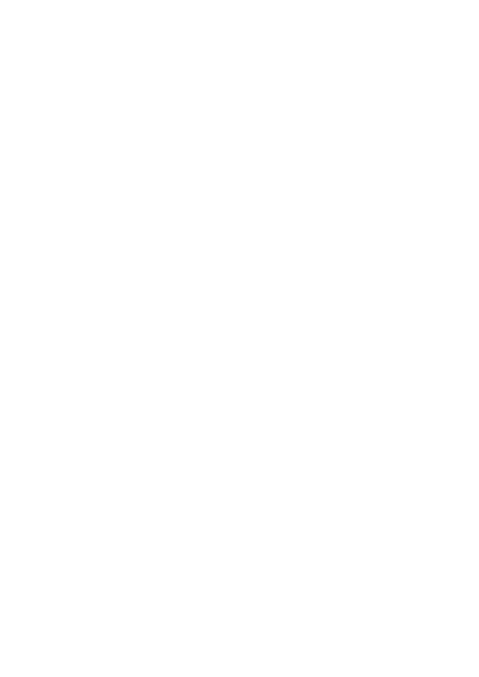It was identified that the site has previously accommodated industrial activity which may have resulted in contamination of the land. However, given the nature of the works relating to the modification of the fence line, it is unlikely that this matter will affect the development.

Additionally, given the close proximity of the site to residential premises it was recommended noisy on-site operations should be limited to the hours of 7:00 and 19:00 Monday to Friday and 7:30 and 14:00 on Saturdays with no works on Sundays or Bank Holidays.

It was also stated provision should be made for the reasonable prevention of dust generation.

In accordance with the above, a condition and informative can be placed on the decision notice to suitably address the above matters should Members be minded to approve the application.

# Built Heritage

No comments or recommendations were received from the Conservation Team following the expiry of the consultation period.

# **POLICIES:**

In the Unitary Development Plan the site is subject to the following policies;

- B\_2\_Scale, massing layout and setting of new developments
- B 4 Development within conservation areas

B 6 Measures to preserve and enhance conservation areas

NA 5 Provision / improvement of visitor facilities at tourist attractions

T\_14\_Accessibility of new developments, need to avoid congestion and safety problems arising

# **COMMENTS:**

The main issues to consider in the assessment of this application are:

- Principle of development
- Design and impact to visual amenity
- Highway implications

# **Principle of development**

Policy B4 of the Unitary Development Plan (UDP) states that 'all development within and adjacent to conservation areas will be required to preserve or enhance their character or appearance.' In this respect, policy B6 of the UDP adopts measures to encourage the retention of existing buildings and the improvement of features, open spaces, historic street patterns and plot boundaries.

Tourism considerations are also applicable to the application with policy NA5 of the UDP stating the provision and or improvement of visitor facilities and other work to enhance the attraction of the Roker and Seaburn seafront zone will be encouraged.

In light of the above and considering the proposal is of a particularly minor nature, to be infrequently used and seeking improvements to ease pedestrian traffic during two key events, the proposal is deemed to comply with the above policies and is therefore considered acceptable in principle.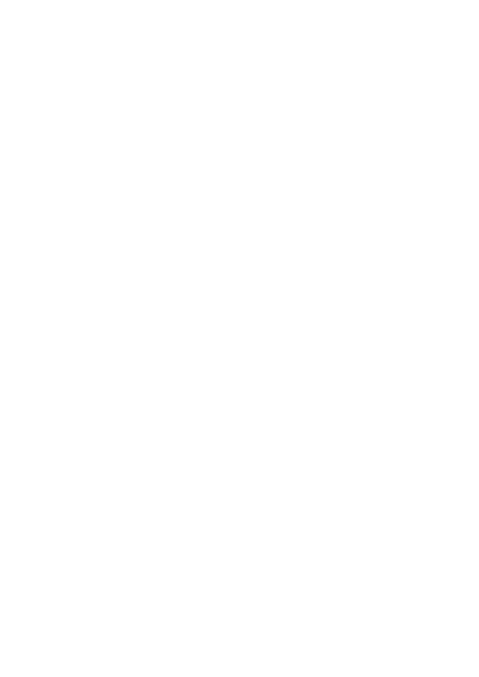# **Design and impact to visual amenity**

In addition to Policy B4 outlined above, Policy B2 of the UDP relates to new development, redevelopment and alterations to existing buildings and states in part that the scale, massing, layout or setting of new developments and extensions to existing buildings should respect and enhance the best qualities of nearby properties and the locality and retain acceptable levels of privacy.

With this in mind it is considered that the size and form of the proposed gates will not detract from the appearance of Roker Park or the wider Conservation Area, with the materials selected to match the existing fence line.

As such, it is considered that the design and appearance of the development is satisfactory without compromising visual amenity, in accordance with the requirements of Policy B2, B4 and B6 of the adopted UDP. Highway Implications

UDP Policy T14 aims to ensure that new developments do not cause traffic problems, should make appropriate provision for safe access by vehicles and pedestrians and indicate how parking requirements will be met.

The proposal has been submitted in order to improve pedestrian access to the park during events whilst Network Management has offered no objections to the proposal. As such, the proposal raises no concerns in terms of highway and pedestrian safety in accordance with policy T14 of the UDP.

# **CONCLUSION**

In conclusion, the proposed installation is considered to be particularly minor works and will not detrimentally affect Roker Park or the wider Conservation Area whilst improving pedestrian access during events. The development therefore complies with policies B2, B4, B6 and T14 of the adopted UDP.

In light of the above, Members are therefore recommended to Grant Consent Under Regulation 3 the General Regulations Order 1992 subject to the conditions listed

# **Equality Act 2010 - 149 Public Sector Equality Duty**

During the detailed consideration of this application/proposal an equality impact assessment has been undertaken which demonstrates that due regard has been given to the duties placed on the LPA's as required by the aforementioned Act.

As part of the assessment of the application/proposal due regard has been given to the following relevant protected characteristics:-

- o age;
- o disability;
- o gender reassignment;
- o pregnancy and maternity;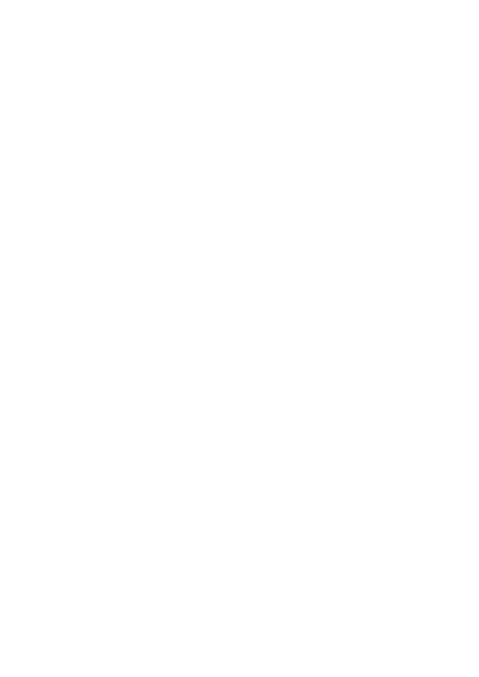- o race;
- o religion or belief;
- o sex;
- o sexual orientation.

The LPA is committed to (a) eliminating discrimination, harassment, victimisation and any other conduct that is prohibited by or under the Equality Act 2010; (b) advance equality of opportunity between persons who share a relevant protected characteristic and persons who do not share it; (c) foster good relations between persons who share a relevant protected characteristic and persons who do not share it.

In addition, the LPA, in the assessment of this application/proposal has given due regard to the need to advance equality of opportunity between persons who share a relevant protected characteristic and persons who do not share it. This approach involves (a) removing or minimising disadvantages suffered by persons who share a relevant protected characteristic that are connected to that characteristic; (b) take steps to meet the needs of persons who share a relevant protected characteristic that are different from the needs of persons who do not share it; (c) encourage persons who share a relevant protected characteristic to participate in public life or in any other activity in which participation by such persons is disproportionately low.

The LPA has taken reasonable and proportionate steps to meet the needs of disabled persons that are different from the needs of persons who are not disabled include, in particular, steps to take account of disabled persons' disabilities, as part of this planning application/proposal.

Due regard has been given to the need to foster good relations between persons who share a relevant protected characteristic and persons who do not share it involves. Particular consideration has been given to the need to¿ (a)tackle prejudice, and (b)promote understanding.

Finally, the LPA recognise that compliance with the duties in this section may involve treating some persons more favourably than others; but that is not to be taken as permitting conduct that would otherwise be prohibited by or under this Act.

**RECOMMENDATION:** In light of the above, Members are therefore recommended to Grant Consent Under Regulation 3 the General Regulations Order 1992 subject to the conditions listed

# **Conditions:**

- 1 The development to which this permission relates must be begun not later than three years beginning with the date on which permission is granted, as required by section 91 of the Town and Country Planning Act 1990 as amended by Section 51 of the Planning and Compulsory Purchase Act 2004 to ensure that the development is carried out within a reasonable period of time.
- 2 Unless otherwise first agreed in writing with the Local Planning Authority, the development hereby granted permission shall be carried out in full accordance with the following approved plans: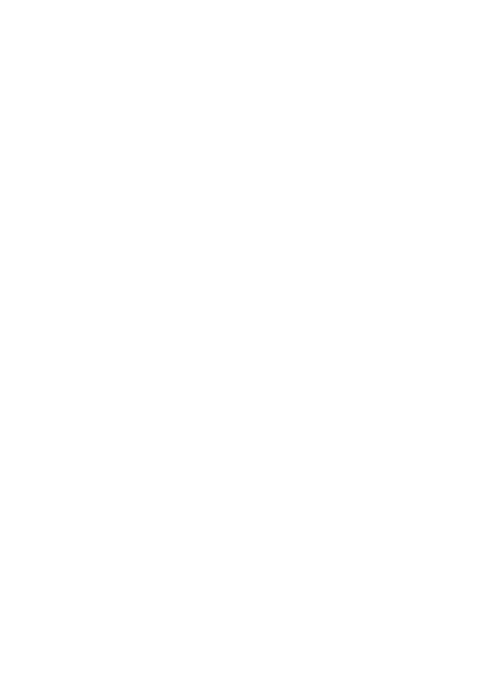- Drawing No. 1: Existing elevations and floor plans, received 07.04.2016
- Drawing No. 2: Proposed elevations and floor plans, received 07.04.2016
- Drawing No. 3: The Location plan, received 07.04.2016
- Drawing No. 4: Position of new gates, received 07.04.2016

In order to ensure that the completed development accords with the scheme approved and to comply with policy B2 of the adopted Unitary Development Plan.

3 The construction works required for the development hereby approved shall only be carried out between the hours of 07.00 and 19.00 Monday to Friday and between the hours of 07.30 and 14.00 on Saturdays and at no time on Sundays or Bank Holidays in order to protect the amenities of the area and to comply with policy B2 and EN5 of the UDP.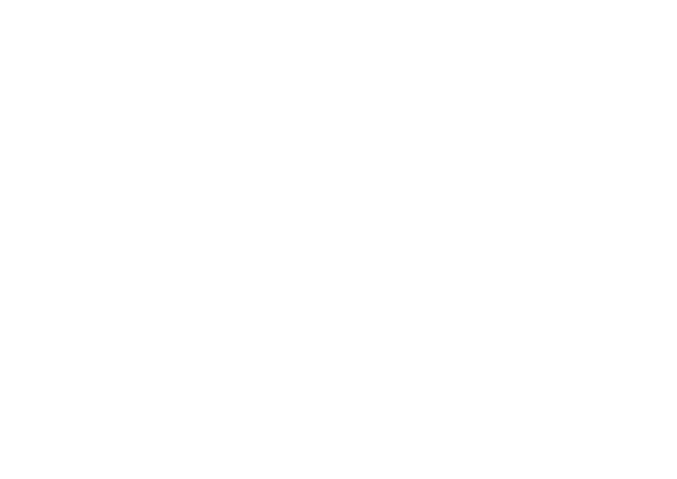# ITEMS FOR INFORMATION

# LIST OF OTHER APPLICATIONS CURRENTLY ON HAND BUT NOT REPORTED ON THIS AGENDA WHICH WILL BE REPORTED WITH A RECOMMENDATION AT A FUTURE MEETING OF THE SUB **COMMITTEE**

| Application Ref and Ward Applicant and Address |                                                                             | <b>Proposal</b>                                                                                | <b>Date Valid</b> | <b>Determination Date</b> |
|------------------------------------------------|-----------------------------------------------------------------------------|------------------------------------------------------------------------------------------------|-------------------|---------------------------|
| 16/00522/LP3                                   | <b>Commercial Development</b><br><b>Directorate</b>                         | Change of use from car park<br>to public convenience and the<br>erection of a single storey    | 06/04/2016        | 01/06/2016                |
| <b>St Peters</b>                               | <b>Car ParkPier</b><br>View/Marine<br>WalkSunderland                        | public convenience block with<br>associated landscaping<br>(revised description<br>14.4.2016). |                   |                           |
| 15/02544/FUL                                   | <b>Lidl UK GmbH</b>                                                         | Erection of new food store<br>including access, car park<br>and associated works               | 07/01/2016        | 07/04/2016                |
| <b>Castle</b>                                  | Land To South Of North<br><b>Hylton Road And North</b><br>Of Riverbank Road |                                                                                                |                   |                           |
|                                                |                                                                             |                                                                                                |                   |                           |